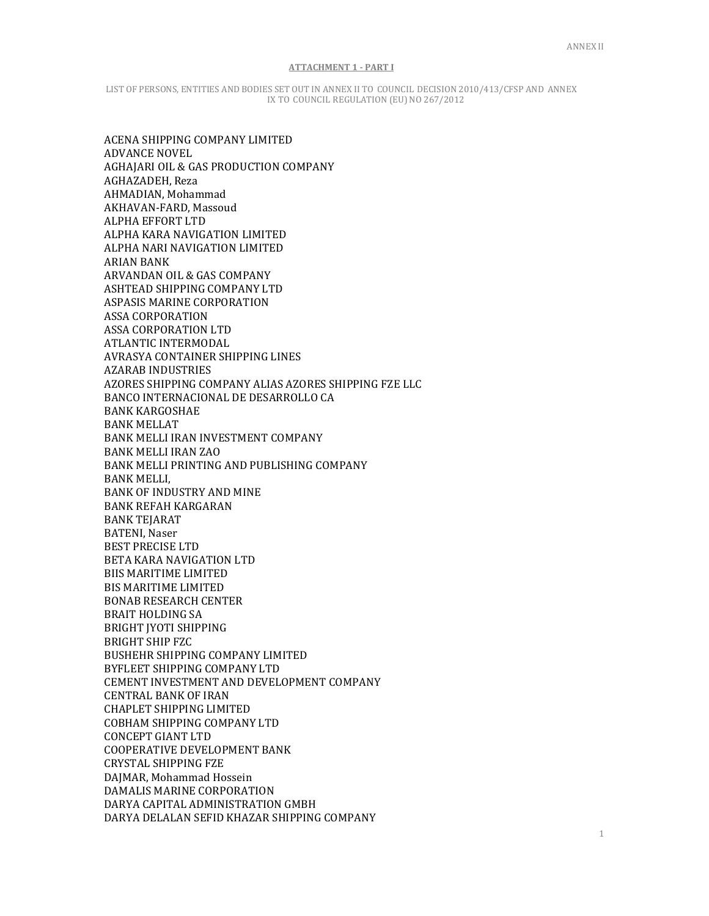LIST OF PERSONS, ENTITIES AND BODIES SET OUT IN ANNEX II TO COUNCIL DECISION 2010/413/CFSP AND ANNEX IX TO COUNCIL REGULATION (EU) NO 267/2012

ACENA SHIPPING COMPANY LIMITED ADVANCE NOVEL AGHAJARI OIL & GAS PRODUCTION COMPANY AGHAZADEH, Reza AHMADIAN, Mohammad AKHAVAN-FARD, Massoud ALPHA EFFORT LTD ALPHA KARA NAVIGATION LIMITED ALPHA NARI NAVIGATION LIMITED ARIAN BANK ARVANDAN OIL & GAS COMPANY ASHTEAD SHIPPING COMPANY LTD ASPASIS MARINE CORPORATION ASSA CORPORATION ASSA CORPORATION LTD ATLANTIC INTERMODAL AVRASYA CONTAINER SHIPPING LINES AZARAB INDUSTRIES AZORES SHIPPING COMPANY ALIAS AZORES SHIPPING FZE LLC BANCO INTERNACIONAL DE DESARROLLO CA BANK KARGOSHAE BANK MELLAT BANK MELLI IRAN INVESTMENT COMPANY BANK MELLI IRAN ZAO BANK MELLI PRINTING AND PUBLISHING COMPANY BANK MELLI, BANK OF INDUSTRY AND MINE BANK REFAH KARGARAN BANK TEJARAT BATENI, Naser BEST PRECISE LTD BETA KARA NAVIGATION LTD BIIS MARITIME LIMITED BIS MARITIME LIMITED BONAB RESEARCH CENTER BRAIT HOLDING SA BRIGHT JYOTI SHIPPING BRIGHT SHIP FZC BUSHEHR SHIPPING COMPANY LIMITED BYFLEET SHIPPING COMPANY LTD CEMENT INVESTMENT AND DEVELOPMENT COMPANY CENTRAL BANK OF IRAN CHAPLET SHIPPING LIMITED COBHAM SHIPPING COMPANY LTD CONCEPT GIANT LTD COOPERATIVE DEVELOPMENT BANK CRYSTAL SHIPPING FZE DAJMAR, Mohammad Hossein DAMALIS MARINE CORPORATION DARYA CAPITAL ADMINISTRATION GMBH DARYA DELALAN SEFID KHAZAR SHIPPING COMPANY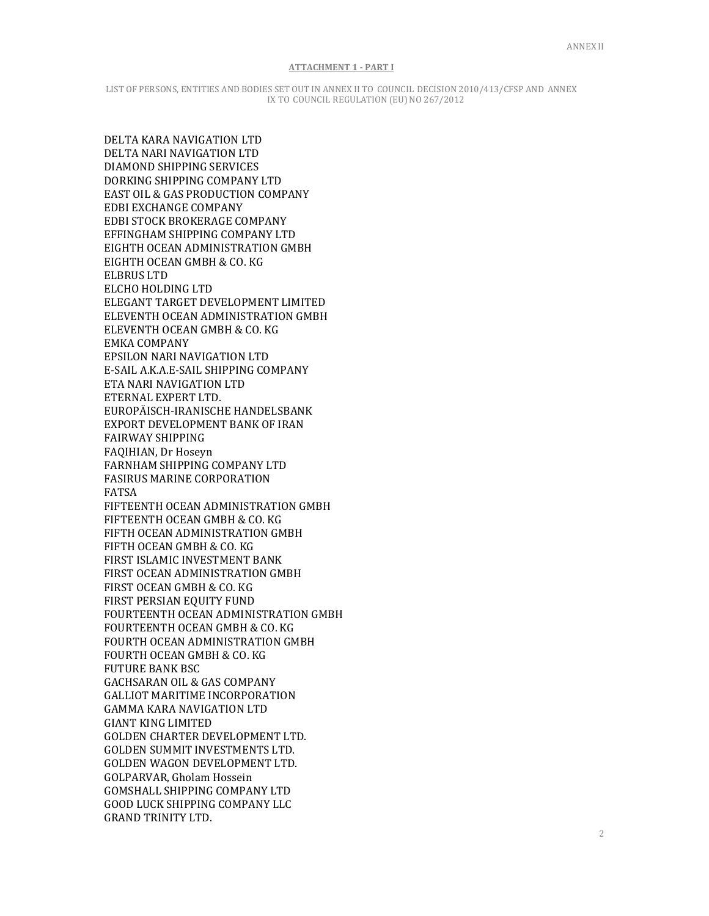LIST OF PERSONS, ENTITIES AND BODIES SET OUT IN ANNEX II TO COUNCIL DECISION 2010/413/CFSP AND ANNEX IX TO COUNCIL REGULATION (EU) NO 267/2012

DELTA KARA NAVIGATION LTD DELTA NARI NAVIGATION LTD DIAMOND SHIPPING SERVICES DORKING SHIPPING COMPANY LTD EAST OIL & GAS PRODUCTION COMPANY EDBI EXCHANGE COMPANY EDBI STOCK BROKERAGE COMPANY EFFINGHAM SHIPPING COMPANY LTD EIGHTH OCEAN ADMINISTRATION GMBH EIGHTH OCEAN GMBH & CO. KG ELBRUS LTD ELCHO HOLDING LTD ELEGANT TARGET DEVELOPMENT LIMITED ELEVENTH OCEAN ADMINISTRATION GMBH ELEVENTH OCEAN GMBH & CO. KG EMKA COMPANY EPSILON NARI NAVIGATION LTD E-SAIL A.K.A.E-SAIL SHIPPING COMPANY ETA NARI NAVIGATION LTD ETERNAL EXPERT LTD. EUROPÄISCH-IRANISCHE HANDELSBANK EXPORT DEVELOPMENT BANK OF IRAN FAIRWAY SHIPPING FAQIHIAN, Dr Hoseyn FARNHAM SHIPPING COMPANY LTD FASIRUS MARINE CORPORATION FATSA FIFTEENTH OCEAN ADMINISTRATION GMBH FIFTEENTH OCEAN GMBH & CO. KG FIFTH OCEAN ADMINISTRATION GMBH FIFTH OCEAN GMBH & CO. KG FIRST ISLAMIC INVESTMENT BANK FIRST OCEAN ADMINISTRATION GMBH FIRST OCEAN GMBH & CO. KG FIRST PERSIAN EQUITY FUND FOURTEENTH OCEAN ADMINISTRATION GMBH FOURTEENTH OCEAN GMBH & CO. KG FOURTH OCEAN ADMINISTRATION GMBH FOURTH OCEAN GMBH & CO. KG FUTURE BANK BSC GACHSARAN OIL & GAS COMPANY GALLIOT MARITIME INCORPORATION GAMMA KARA NAVIGATION LTD GIANT KING LIMITED GOLDEN CHARTER DEVELOPMENT LTD. GOLDEN SUMMIT INVESTMENTS LTD. GOLDEN WAGON DEVELOPMENT LTD. GOLPARVAR, Gholam Hossein GOMSHALL SHIPPING COMPANY LTD GOOD LUCK SHIPPING COMPANY LLC GRAND TRINITY LTD.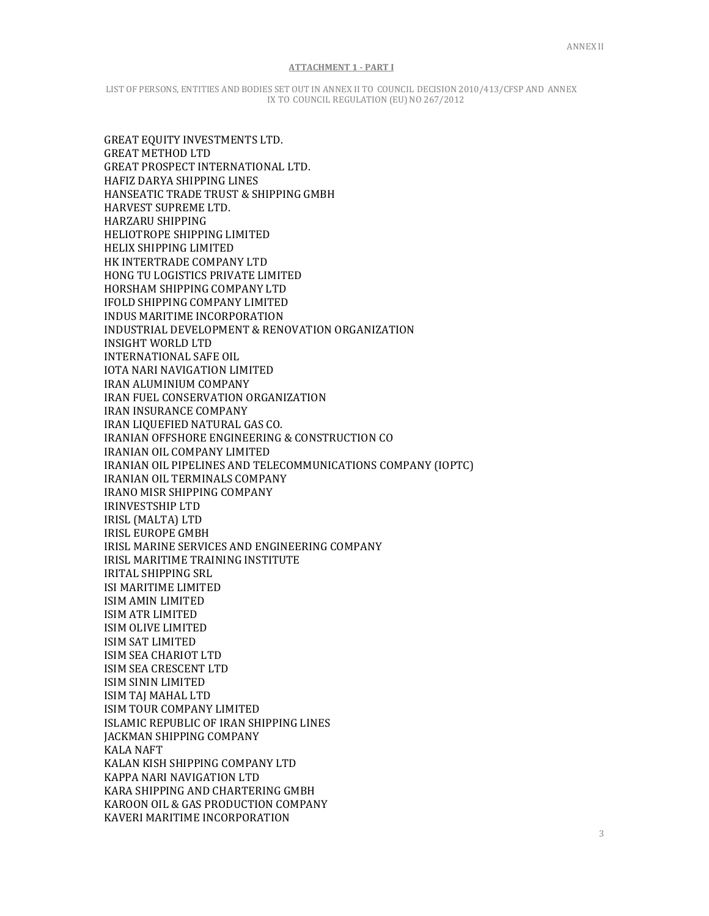LIST OF PERSONS, ENTITIES AND BODIES SET OUT IN ANNEX II TO COUNCIL DECISION 2010/413/CFSP AND ANNEX IX TO COUNCIL REGULATION (EU) NO 267/2012

GREAT EQUITY INVESTMENTS LTD. GREAT METHOD LTD GREAT PROSPECT INTERNATIONAL LTD. HAFIZ DARYA SHIPPING LINES HANSEATIC TRADE TRUST & SHIPPING GMBH HARVEST SUPREME LTD. HARZARU SHIPPING HELIOTROPE SHIPPING LIMITED HELIX SHIPPING LIMITED HK INTERTRADE COMPANY LTD HONG TU LOGISTICS PRIVATE LIMITED HORSHAM SHIPPING COMPANY LTD IFOLD SHIPPING COMPANY LIMITED INDUS MARITIME INCORPORATION INDUSTRIAL DEVELOPMENT & RENOVATION ORGANIZATION INSIGHT WORLD LTD INTERNATIONAL SAFE OIL IOTA NARI NAVIGATION LIMITED IRAN ALUMINIUM COMPANY IRAN FUEL CONSERVATION ORGANIZATION IRAN INSURANCE COMPANY IRAN LIQUEFIED NATURAL GAS CO. IRANIAN OFFSHORE ENGINEERING & CONSTRUCTION CO IRANIAN OIL COMPANY LIMITED IRANIAN OIL PIPELINES AND TELECOMMUNICATIONS COMPANY (IOPTC) IRANIAN OIL TERMINALS COMPANY IRANO MISR SHIPPING COMPANY IRINVESTSHIP LTD IRISL (MALTA) LTD IRISL EUROPE GMBH IRISL MARINE SERVICES AND ENGINEERING COMPANY IRISL MARITIME TRAINING INSTITUTE IRITAL SHIPPING SRL ISI MARITIME LIMITED ISIM AMIN LIMITED ISIM ATR LIMITED ISIM OLIVE LIMITED ISIM SAT LIMITED ISIM SEA CHARIOT LTD ISIM SEA CRESCENT LTD ISIM SININ LIMITED ISIM TAJ MAHAL LTD ISIM TOUR COMPANY LIMITED ISLAMIC REPUBLIC OF IRAN SHIPPING LINES JACKMAN SHIPPING COMPANY KALA NAFT KALAN KISH SHIPPING COMPANY LTD KAPPA NARI NAVIGATION LTD KARA SHIPPING AND CHARTERING GMBH KAROON OIL & GAS PRODUCTION COMPANY KAVERI MARITIME INCORPORATION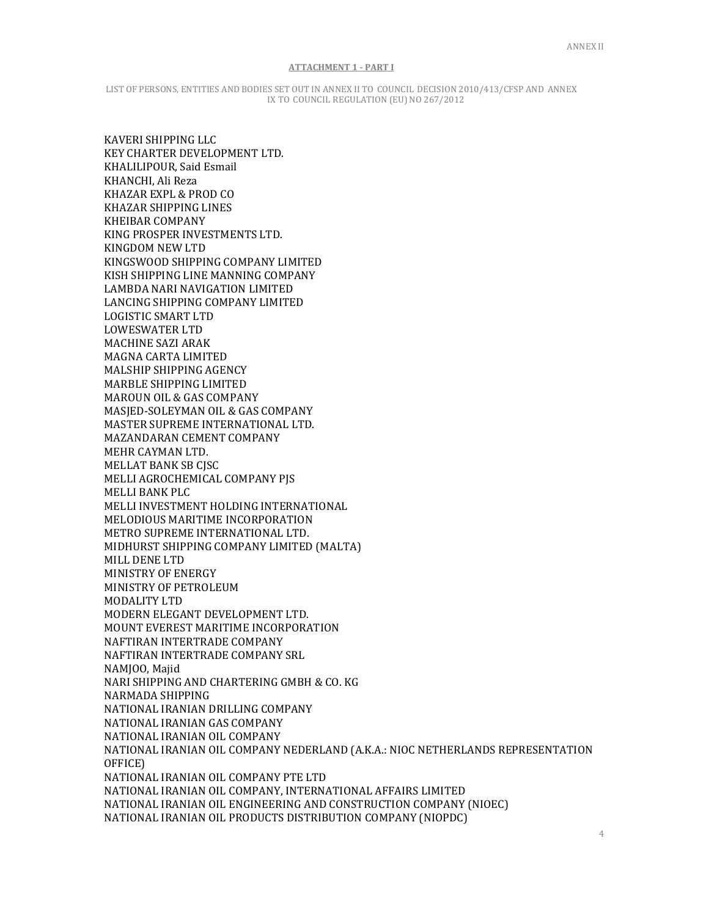LIST OF PERSONS, ENTITIES AND BODIES SET OUT IN ANNEX II TO COUNCIL DECISION 2010/413/CFSP AND ANNEX IX TO COUNCIL REGULATION (EU) NO 267/2012

KAVERI SHIPPING LLC KEY CHARTER DEVELOPMENT LTD. KHALILIPOUR, Said Esmail KHANCHI, Ali Reza KHAZAR EXPL & PROD CO KHAZAR SHIPPING LINES KHEIBAR COMPANY KING PROSPER INVESTMENTS LTD. KINGDOM NEW LTD KINGSWOOD SHIPPING COMPANY LIMITED KISH SHIPPING LINE MANNING COMPANY LAMBDA NARI NAVIGATION LIMITED LANCING SHIPPING COMPANY LIMITED LOGISTIC SMART LTD LOWESWATER LTD MACHINE SAZI ARAK MAGNA CARTA LIMITED MALSHIP SHIPPING AGENCY MARBLE SHIPPING LIMITED MAROUN OIL & GAS COMPANY MASJED-SOLEYMAN OIL & GAS COMPANY MASTER SUPREME INTERNATIONAL LTD. MAZANDARAN CEMENT COMPANY MEHR CAYMAN LTD. MELLAT BANK SB CJSC MELLI AGROCHEMICAL COMPANY PJS MELLI BANK PLC MELLI INVESTMENT HOLDING INTERNATIONAL MELODIOUS MARITIME INCORPORATION METRO SUPREME INTERNATIONAL LTD. MIDHURST SHIPPING COMPANY LIMITED (MALTA) MILL DENE LTD MINISTRY OF ENERGY MINISTRY OF PETROLEUM MODALITY LTD MODERN ELEGANT DEVELOPMENT LTD. MOUNT EVEREST MARITIME INCORPORATION NAFTIRAN INTERTRADE COMPANY NAFTIRAN INTERTRADE COMPANY SRL NAMJOO, Majid NARI SHIPPING AND CHARTERING GMBH & CO. KG NARMADA SHIPPING NATIONAL IRANIAN DRILLING COMPANY NATIONAL IRANIAN GAS COMPANY NATIONAL IRANIAN OIL COMPANY NATIONAL IRANIAN OIL COMPANY NEDERLAND (A.K.A.: NIOC NETHERLANDS REPRESENTATION OFFICE) NATIONAL IRANIAN OIL COMPANY PTE LTD NATIONAL IRANIAN OIL COMPANY, INTERNATIONAL AFFAIRS LIMITED NATIONAL IRANIAN OIL ENGINEERING AND CONSTRUCTION COMPANY (NIOEC) NATIONAL IRANIAN OIL PRODUCTS DISTRIBUTION COMPANY (NIOPDC)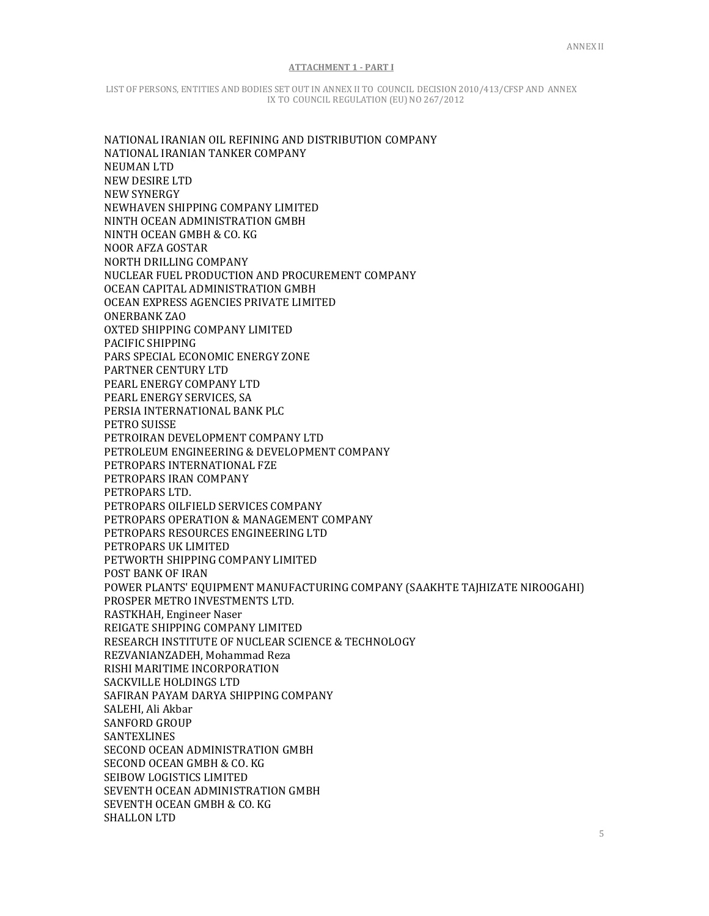LIST OF PERSONS, ENTITIES AND BODIES SET OUT IN ANNEX II TO COUNCIL DECISION 2010/413/CFSP AND ANNEX IX TO COUNCIL REGULATION (EU) NO 267/2012

NATIONAL IRANIAN OIL REFINING AND DISTRIBUTION COMPANY NATIONAL IRANIAN TANKER COMPANY NEUMAN LTD NEW DESIRE LTD NEW SYNERGY NEWHAVEN SHIPPING COMPANY LIMITED NINTH OCEAN ADMINISTRATION GMBH NINTH OCEAN GMBH & CO. KG NOOR AFZA GOSTAR NORTH DRILLING COMPANY NUCLEAR FUEL PRODUCTION AND PROCUREMENT COMPANY OCEAN CAPITAL ADMINISTRATION GMBH OCEAN EXPRESS AGENCIES PRIVATE LIMITED ONERBANK ZAO OXTED SHIPPING COMPANY LIMITED PACIFIC SHIPPING PARS SPECIAL ECONOMIC ENERGY ZONE PARTNER CENTURY LTD PEARL ENERGY COMPANY LTD PEARL ENERGY SERVICES, SA PERSIA INTERNATIONAL BANK PLC PETRO SUISSE PETROIRAN DEVELOPMENT COMPANY LTD PETROLEUM ENGINEERING & DEVELOPMENT COMPANY PETROPARS INTERNATIONAL FZE PETROPARS IRAN COMPANY PETROPARS LTD. PETROPARS OILFIELD SERVICES COMPANY PETROPARS OPERATION & MANAGEMENT COMPANY PETROPARS RESOURCES ENGINEERING LTD PETROPARS UK LIMITED PETWORTH SHIPPING COMPANY LIMITED POST BANK OF IRAN POWER PLANTS' EQUIPMENT MANUFACTURING COMPANY (SAAKHTE TAJHIZATE NIROOGAHI) PROSPER METRO INVESTMENTS LTD. RASTKHAH, Engineer Naser REIGATE SHIPPING COMPANY LIMITED RESEARCH INSTITUTE OF NUCLEAR SCIENCE & TECHNOLOGY REZVANIANZADEH, Mohammad Reza RISHI MARITIME INCORPORATION SACKVILLE HOLDINGS LTD SAFIRAN PAYAM DARYA SHIPPING COMPANY SALEHI, Ali Akbar SANFORD GROUP SANTEXLINES SECOND OCEAN ADMINISTRATION GMBH SECOND OCEAN GMBH & CO. KG SEIBOW LOGISTICS LIMITED SEVENTH OCEAN ADMINISTRATION GMBH SEVENTH OCEAN GMBH & CO. KG SHALLON LTD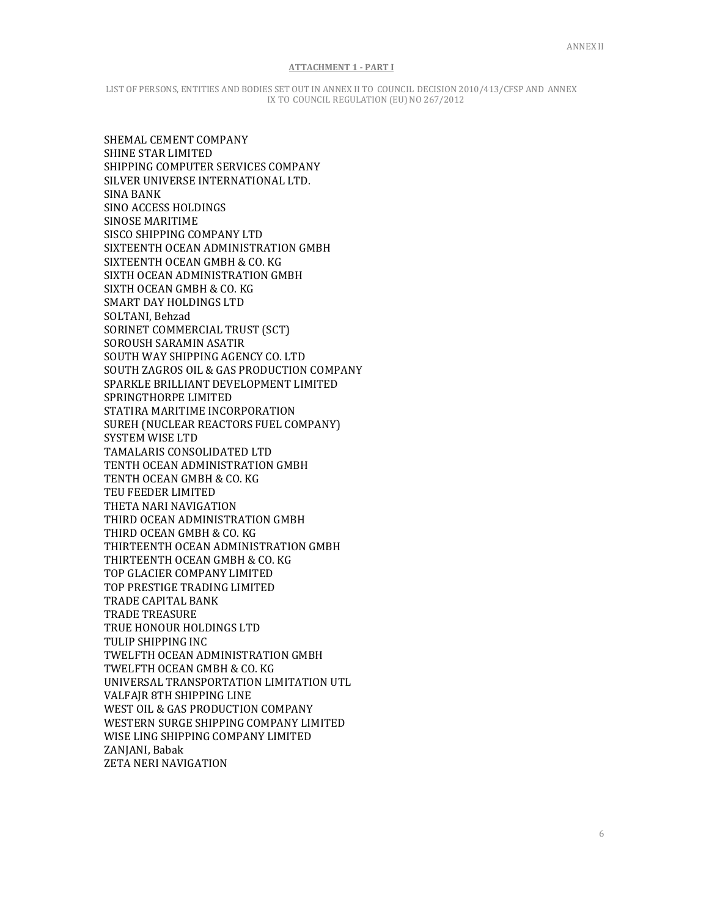LIST OF PERSONS, ENTITIES AND BODIES SET OUT IN ANNEX II TO COUNCIL DECISION 2010/413/CFSP AND ANNEX IX TO COUNCIL REGULATION (EU) NO 267/2012

SHEMAL CEMENT COMPANY SHINE STAR LIMITED SHIPPING COMPUTER SERVICES COMPANY SILVER UNIVERSE INTERNATIONAL LTD. SINA BANK SINO ACCESS HOLDINGS SINOSE MARITIME SISCO SHIPPING COMPANY LTD SIXTEENTH OCEAN ADMINISTRATION GMBH SIXTEENTH OCEAN GMBH & CO. KG SIXTH OCEAN ADMINISTRATION GMBH SIXTH OCEAN GMBH & CO. KG SMART DAY HOLDINGS LTD SOLTANI, Behzad SORINET COMMERCIAL TRUST (SCT) SOROUSH SARAMIN ASATIR SOUTH WAY SHIPPING AGENCY CO. LTD SOUTH ZAGROS OIL & GAS PRODUCTION COMPANY SPARKLE BRILLIANT DEVELOPMENT LIMITED SPRINGTHORPE LIMITED STATIRA MARITIME INCORPORATION SUREH (NUCLEAR REACTORS FUEL COMPANY) SYSTEM WISE LTD TAMALARIS CONSOLIDATED LTD TENTH OCEAN ADMINISTRATION GMBH TENTH OCEAN GMBH & CO. KG TEU FEEDER LIMITED THETA NARI NAVIGATION THIRD OCEAN ADMINISTRATION GMBH THIRD OCEAN GMBH & CO. KG THIRTEENTH OCEAN ADMINISTRATION GMBH THIRTEENTH OCEAN GMBH & CO. KG TOP GLACIER COMPANY LIMITED TOP PRESTIGE TRADING LIMITED TRADE CAPITAL BANK TRADE TREASURE TRUE HONOUR HOLDINGS LTD TULIP SHIPPING INC TWELFTH OCEAN ADMINISTRATION GMBH TWELFTH OCEAN GMBH & CO. KG UNIVERSAL TRANSPORTATION LIMITATION UTL VALFAJR 8TH SHIPPING LINE WEST OIL & GAS PRODUCTION COMPANY WESTERN SURGE SHIPPING COMPANY LIMITED WISE LING SHIPPING COMPANY LIMITED ZANJANI, Babak ZETA NERI NAVIGATION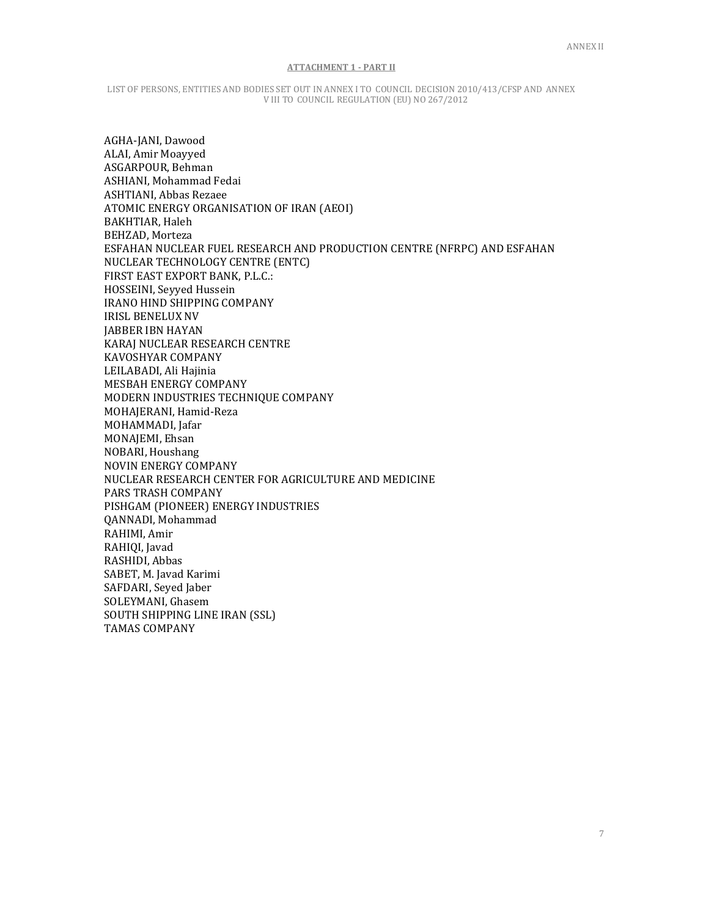LIST OF PERSONS, ENTITIES AND BODIES SET OUT IN ANNEX I TO COUNCIL DECISION 2010/413/CFSP AND ANNEX V III TO COUNCIL REGULATION (EU) NO 267/2012

AGHA-JANI, Dawood ALAI, Amir Moayyed ASGARPOUR, Behman ASHIANI, Mohammad Fedai ASHTIANI, Abbas Rezaee ATOMIC ENERGY ORGANISATION OF IRAN (AEOI) BAKHTIAR, Haleh BEHZAD, Morteza ESFAHAN NUCLEAR FUEL RESEARCH AND PRODUCTION CENTRE (NFRPC) AND ESFAHAN NUCLEAR TECHNOLOGY CENTRE (ENTC) FIRST EAST EXPORT BANK, P.L.C.: HOSSEINI, Seyyed Hussein IRANO HIND SHIPPING COMPANY IRISL BENELUX NV JABBER IBN HAYAN KARAJ NUCLEAR RESEARCH CENTRE KAVOSHYAR COMPANY LEILABADI, Ali Hajinia MESBAH ENERGY COMPANY MODERN INDUSTRIES TECHNIQUE COMPANY MOHAJERANI, Hamid-Reza MOHAMMADI, Jafar MONAJEMI, Ehsan NOBARI, Houshang NOVIN ENERGY COMPANY NUCLEAR RESEARCH CENTER FOR AGRICULTURE AND MEDICINE PARS TRASH COMPANY PISHGAM (PIONEER) ENERGY INDUSTRIES QANNADI, Mohammad RAHIMI, Amir RAHIQI, Javad RASHIDI, Abbas SABET, M. Javad Karimi SAFDARI, Seyed Jaber SOLEYMANI, Ghasem SOUTH SHIPPING LINE IRAN (SSL) TAMAS COMPANY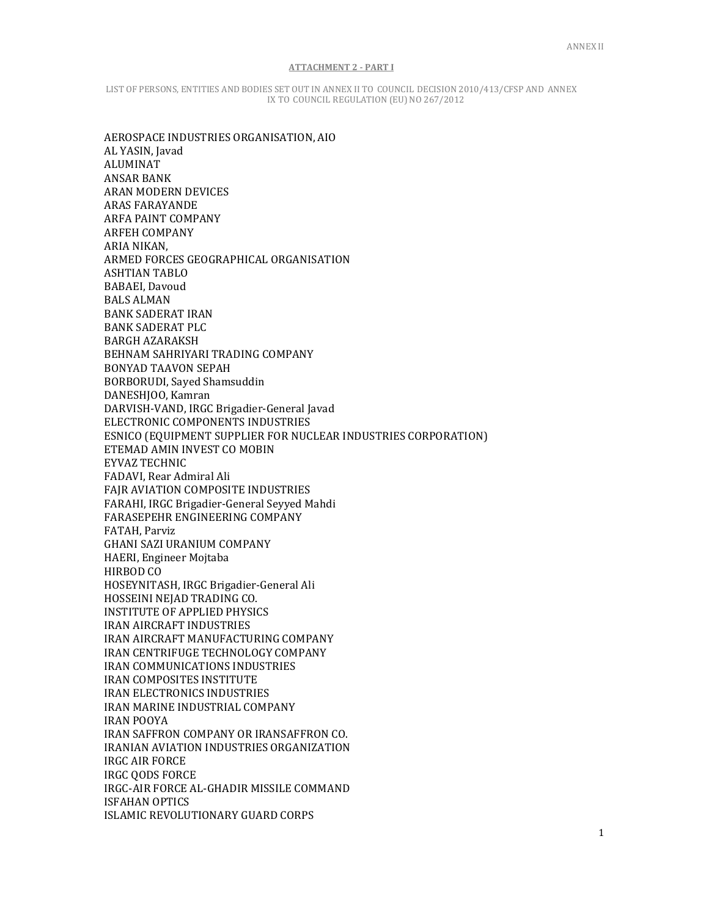LIST OF PERSONS, ENTITIES AND BODIES SET OUT IN ANNEX II TO COUNCIL DECISION 2010/413/CFSP AND ANNEX IX TO COUNCIL REGULATION (EU) NO 267/2012

AEROSPACE INDUSTRIES ORGANISATION, AIO AL YASIN, Javad ALUMINAT ANSAR BANK ARAN MODERN DEVICES ARAS FARAYANDE ARFA PAINT COMPANY ARFEH COMPANY ARIA NIKAN, ARMED FORCES GEOGRAPHICAL ORGANISATION ASHTIAN TABLO BABAEI, Davoud BALS ALMAN BANK SADERAT IRAN BANK SADERAT PLC BARGH AZARAKSH BEHNAM SAHRIYARI TRADING COMPANY BONYAD TAAVON SEPAH BORBORUDI, Sayed Shamsuddin DANESHJOO, Kamran DARVISH-VAND, IRGC Brigadier-General Javad ELECTRONIC COMPONENTS INDUSTRIES ESNICO (EQUIPMENT SUPPLIER FOR NUCLEAR INDUSTRIES CORPORATION) ETEMAD AMIN INVEST CO MOBIN EYVAZ TECHNIC FADAVI, Rear Admiral Ali FAJR AVIATION COMPOSITE INDUSTRIES FARAHI, IRGC Brigadier-General Seyyed Mahdi FARASEPEHR ENGINEERING COMPANY FATAH, Parviz GHANI SAZI URANIUM COMPANY HAERI, Engineer Mojtaba HIRBOD CO HOSEYNITASH, IRGC Brigadier-General Ali HOSSEINI NEJAD TRADING CO. INSTITUTE OF APPLIED PHYSICS IRAN AIRCRAFT INDUSTRIES IRAN AIRCRAFT MANUFACTURING COMPANY IRAN CENTRIFUGE TECHNOLOGY COMPANY IRAN COMMUNICATIONS INDUSTRIES IRAN COMPOSITES INSTITUTE IRAN ELECTRONICS INDUSTRIES IRAN MARINE INDUSTRIAL COMPANY IRAN POOYA IRAN SAFFRON COMPANY OR IRANSAFFRON CO. IRANIAN AVIATION INDUSTRIES ORGANIZATION IRGC AIR FORCE IRGC QODS FORCE IRGC-AIR FORCE AL-GHADIR MISSILE COMMAND ISFAHAN OPTICS ISLAMIC REVOLUTIONARY GUARD CORPS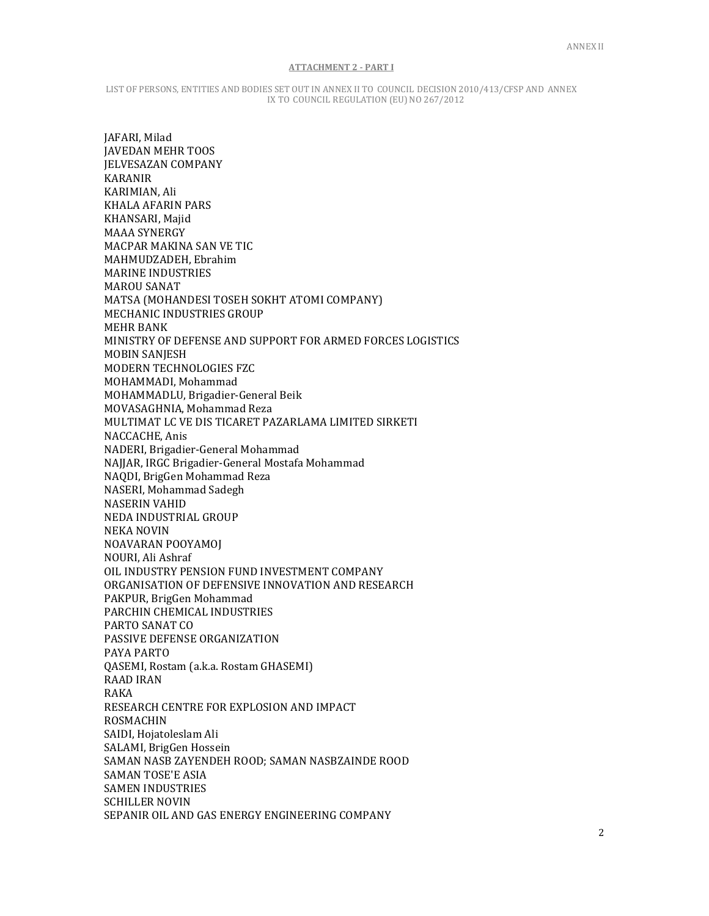LIST OF PERSONS, ENTITIES AND BODIES SET OUT IN ANNEX II TO COUNCIL DECISION 2010/413/CFSP AND ANNEX IX TO COUNCIL REGULATION (EU) NO 267/2012

JAFARI, Milad JAVEDAN MEHR TOOS JELVESAZAN COMPANY KARANIR KARIMIAN, Ali KHALA AFARIN PARS KHANSARI, Majid MAAA SYNERGY MACPAR MAKINA SAN VE TIC MAHMUDZADEH, Ebrahim MARINE INDUSTRIES MAROU SANAT MATSA (MOHANDESI TOSEH SOKHT ATOMI COMPANY) MECHANIC INDUSTRIES GROUP MEHR BANK MINISTRY OF DEFENSE AND SUPPORT FOR ARMED FORCES LOGISTICS MOBIN SANJESH MODERN TECHNOLOGIES FZC MOHAMMADI, Mohammad MOHAMMADLU, Brigadier-General Beik MOVASAGHNIA, Mohammad Reza MULTIMAT LC VE DIS TICARET PAZARLAMA LIMITED SIRKETI NACCACHE, Anis NADERI, Brigadier-General Mohammad NAJJAR, IRGC Brigadier-General Mostafa Mohammad NAQDI, BrigGen Mohammad Reza NASERI, Mohammad Sadegh NASERIN VAHID NEDA INDUSTRIAL GROUP NEKA NOVIN NOAVARAN POOYAMOJ NOURI, Ali Ashraf OIL INDUSTRY PENSION FUND INVESTMENT COMPANY ORGANISATION OF DEFENSIVE INNOVATION AND RESEARCH PAKPUR, BrigGen Mohammad PARCHIN CHEMICAL INDUSTRIES PARTO SANAT CO PASSIVE DEFENSE ORGANIZATION PAYA PARTO QASEMI, Rostam (a.k.a. Rostam GHASEMI) RAAD IRAN RAKA RESEARCH CENTRE FOR EXPLOSION AND IMPACT ROSMACHIN SAIDI, Hojatoleslam Ali SALAMI, BrigGen Hossein SAMAN NASB ZAYENDEH ROOD; SAMAN NASBZAINDE ROOD SAMAN TOSE'E ASIA SAMEN INDUSTRIES SCHILLER NOVIN SEPANIR OIL AND GAS ENERGY ENGINEERING COMPANY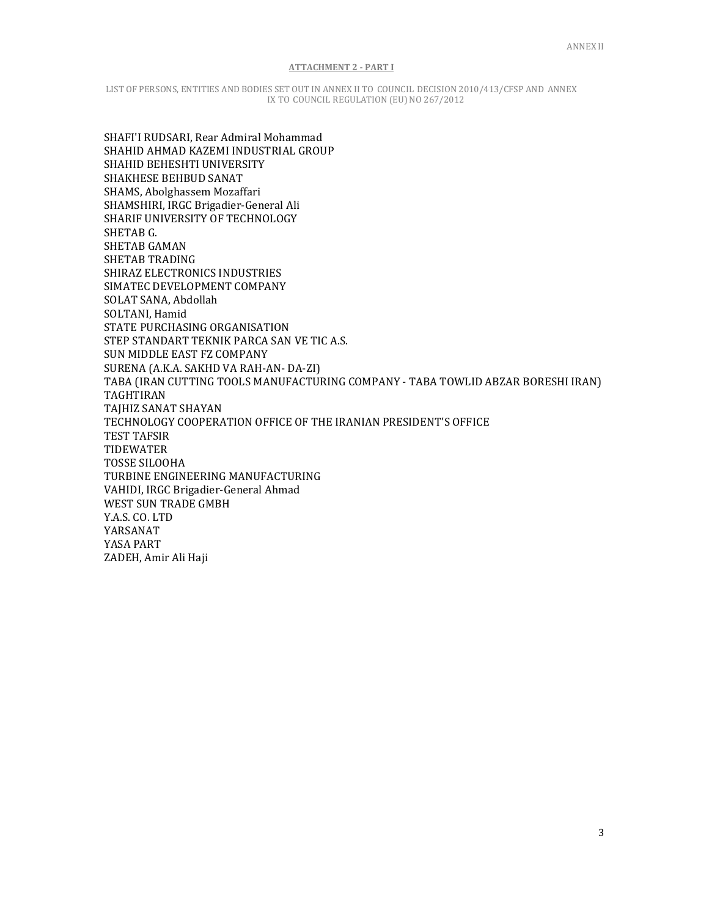LIST OF PERSONS, ENTITIES AND BODIES SET OUT IN ANNEX II TO COUNCIL DECISION 2010/413/CFSP AND ANNEX IX TO COUNCIL REGULATION (EU) NO 267/2012

SHAFI'I RUDSARI, Rear Admiral Mohammad SHAHID AHMAD KAZEMI INDUSTRIAL GROUP SHAHID BEHESHTI UNIVERSITY SHAKHESE BEHBUD SANAT SHAMS, Abolghassem Mozaffari SHAMSHIRI, IRGC Brigadier-General Ali SHARIF UNIVERSITY OF TECHNOLOGY SHETAB G. SHETAB GAMAN SHETAB TRADING SHIRAZ ELECTRONICS INDUSTRIES SIMATEC DEVELOPMENT COMPANY SOLAT SANA, Abdollah SOLTANI, Hamid STATE PURCHASING ORGANISATION STEP STANDART TEKNIK PARCA SAN VE TIC A.S. SUN MIDDLE EAST FZ COMPANY SURENA (A.K.A. SAKHD VA RAH-AN- DA-ZI) TABA (IRAN CUTTING TOOLS MANUFACTURING COMPANY - TABA TOWLID ABZAR BORESHI IRAN) TAGHTIRAN TAJHIZ SANAT SHAYAN TECHNOLOGY COOPERATION OFFICE OF THE IRANIAN PRESIDENT'S OFFICE TEST TAFSIR TIDEWATER TOSSE SILOOHA TURBINE ENGINEERING MANUFACTURING VAHIDI, IRGC Brigadier-General Ahmad WEST SUN TRADE GMBH Y.A.S. CO. LTD YARSANAT YASA PART ZADEH, Amir Ali Haji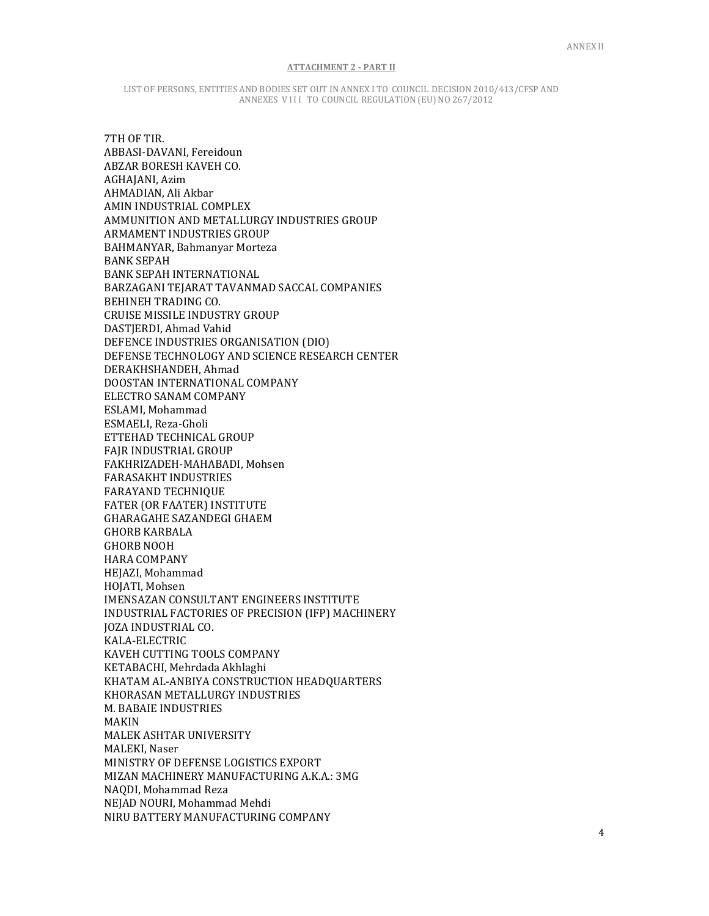LIST OF PERSONS, ENTITIES AND BODIES SET OUT IN ANNEX I TO COUNCIL DECISION 2010/413/CFSP AND ANNEXES VIII TO COUNCIL REGULATION (EU) NO 267/2012

7TH OF TIR. ABBASI-DAVANI, Fereidoun ABZAR BORESH KAVEH CO. AGHAJANI, Azim AHMADIAN, Ali Akbar AMIN INDUSTRIAL COMPLEX AMMUNITION AND METALLURGY INDUSTRIES GROUP ARMAMENT INDUSTRIES GROUP BAHMANYAR, Bahmanyar Morteza BANK SEPAH BANK SEPAH INTERNATIONAL BARZAGANI TEJARAT TAVANMAD SACCAL COMPANIES BEHINEH TRADING CO. CRUISE MISSILE INDUSTRY GROUP DASTJERDI, Ahmad Vahid DEFENCE INDUSTRIES ORGANISATION (DIO) DEFENSE TECHNOLOGY AND SCIENCE RESEARCH CENTER DERAKHSHANDEH, Ahmad DOOSTAN INTERNATIONAL COMPANY ELECTRO SANAM COMPANY ESLAMI, Mohammad ESMAELI, Reza-Gholi ETTEHAD TECHNICAL GROUP FAJR INDUSTRIAL GROUP FAKHRIZADEH-MAHABADI, Mohsen FARASAKHT INDUSTRIES FARAYAND TECHNIQUE FATER (OR FAATER) INSTITUTE GHARAGAHE SAZANDEGI GHAEM GHORB KARBALA GHORB NOOH HARA COMPANY HEJAZI, Mohammad HOJATI, Mohsen IMENSAZAN CONSULTANT ENGINEERS INSTITUTE INDUSTRIAL FACTORIES OF PRECISION (IFP) MACHINERY JOZA INDUSTRIAL CO. KALA-ELECTRIC KAVEH CUTTING TOOLS COMPANY KETABACHI, Mehrdada Akhlaghi KHATAM AL-ANBIYA CONSTRUCTION HEADQUARTERS KHORASAN METALLURGY INDUSTRIES M. BABAIE INDUSTRIES MAKIN MALEK ASHTAR UNIVERSITY MALEKI, Naser MINISTRY OF DEFENSE LOGISTICS EXPORT MIZAN MACHINERY MANUFACTURING A.K.A.: 3MG NAQDI, Mohammad Reza NEJAD NOURI, Mohammad Mehdi NIRU BATTERY MANUFACTURING COMPANY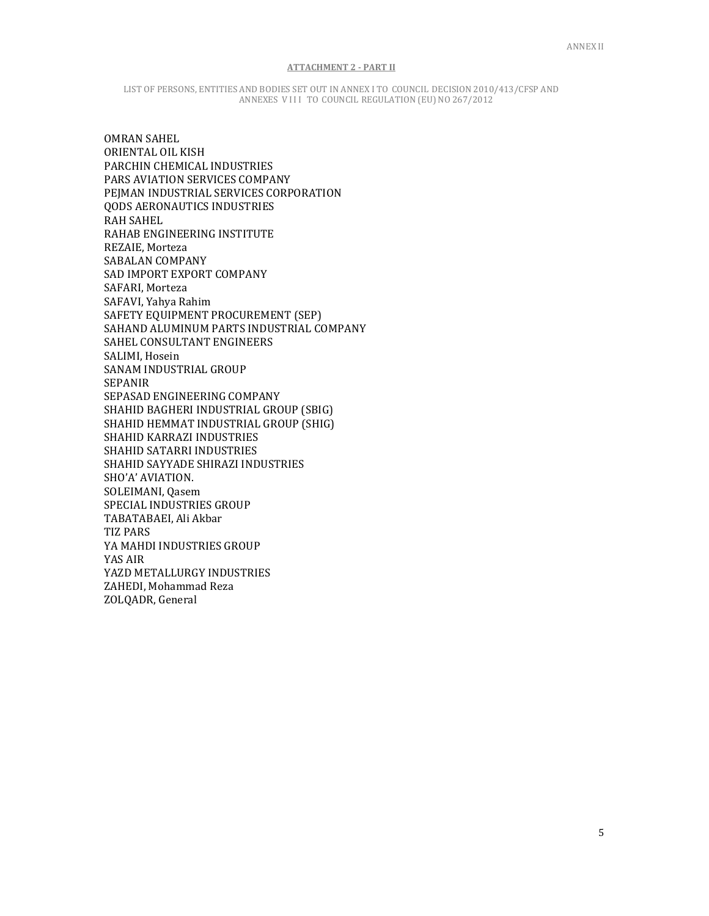LIST OF PERSONS, ENTITIES AND BODIES SET OUT IN ANNEX I TO COUNCIL DECISION 2010/413/CFSP AND ANNEXES VIII TO COUNCIL REGULATION (EU) NO 267/2012

OMRAN SAHEL ORIENTAL OIL KISH PARCHIN CHEMICAL INDUSTRIES PARS AVIATION SERVICES COMPANY PEJMAN INDUSTRIAL SERVICES CORPORATION QODS AERONAUTICS INDUSTRIES RAH SAHEL RAHAB ENGINEERING INSTITUTE REZAIE, Morteza SABALAN COMPANY SAD IMPORT EXPORT COMPANY SAFARI, Morteza SAFAVI, Yahya Rahim SAFETY EQUIPMENT PROCUREMENT (SEP) SAHAND ALUMINUM PARTS INDUSTRIAL COMPANY SAHEL CONSULTANT ENGINEERS SALIMI, Hosein SANAM INDUSTRIAL GROUP SEPANIR SEPASAD ENGINEERING COMPANY SHAHID BAGHERI INDUSTRIAL GROUP (SBIG) SHAHID HEMMAT INDUSTRIAL GROUP (SHIG) SHAHID KARRAZI INDUSTRIES SHAHID SATARRI INDUSTRIES SHAHID SAYYADE SHIRAZI INDUSTRIES SHO'A' AVIATION. SOLEIMANI, Qasem SPECIAL INDUSTRIES GROUP TABATABAEI, Ali Akbar TIZ PARS YA MAHDI INDUSTRIES GROUP YAS AIR YAZD METALLURGY INDUSTRIES ZAHEDI, Mohammad Reza ZOLQADR, General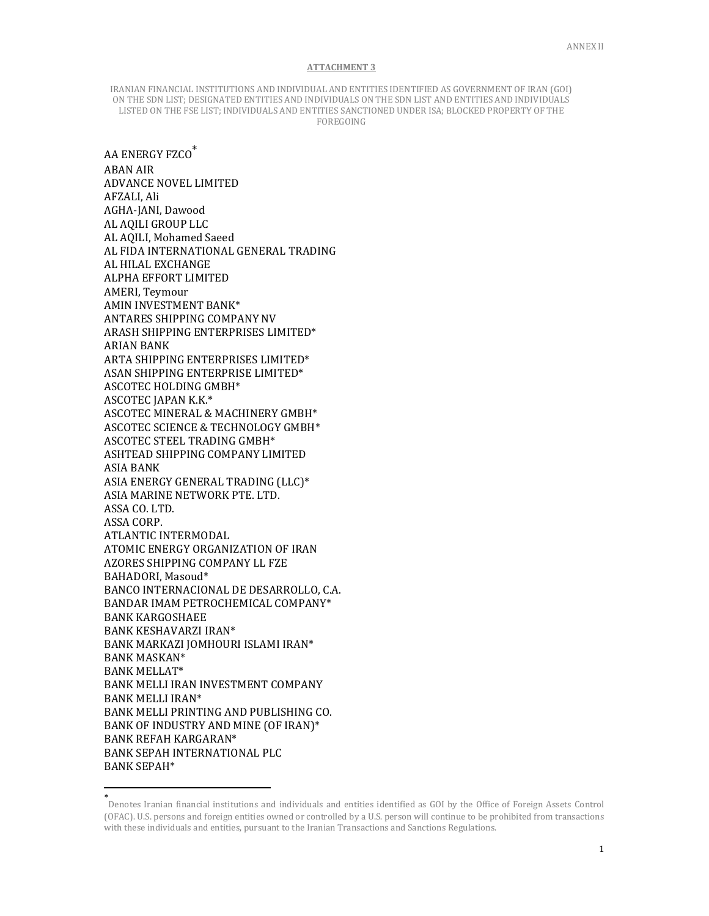IRANIAN FINANCIAL INSTITUTIONS AND INDIVIDUAL AND ENTITIES IDENTIFIED AS GOVERNMENT OF IRAN (GOI) ON THE SDN LIST; DESIGNATED ENTITIES AND INDIVIDUALS ON THE SDN LIST AND ENTITIES AND INDIVIDUALS LISTED ON THE FSE LIST; INDIVIDUALS AND ENTITIES SANCTIONED UNDER ISA; BLOCKED PROPERTY OF THE FOREGOING

AA ENERGY FZCO\* ABAN AIR ADVANCE NOVEL LIMITED AFZALI, Ali AGHA-JANI, Dawood AL AQILI GROUP LLC AL AQILI, Mohamed Saeed AL FIDA INTERNATIONAL GENERAL TRADING AL HILAL EXCHANGE ALPHA EFFORT LIMITED AMERI, Teymour AMIN INVESTMENT BANK\* ANTARES SHIPPING COMPANY NV ARASH SHIPPING ENTERPRISES LIMITED\* ARIAN BANK ARTA SHIPPING ENTERPRISES LIMITED\* ASAN SHIPPING ENTERPRISE LIMITED\* ASCOTEC HOLDING GMBH\* ASCOTEC JAPAN K.K.\* ASCOTEC MINERAL & MACHINERY GMBH\* ASCOTEC SCIENCE & TECHNOLOGY GMBH\* ASCOTEC STEEL TRADING GMBH\* ASHTEAD SHIPPING COMPANY LIMITED ASIA BANK ASIA ENERGY GENERAL TRADING (LLC)\* ASIA MARINE NETWORK PTE. LTD. ASSA CO. LTD. ASSA CORP. ATLANTIC INTERMODAL ATOMIC ENERGY ORGANIZATION OF IRAN AZORES SHIPPING COMPANY LL FZE BAHADORI, Masoud\* BANCO INTERNACIONAL DE DESARROLLO, C.A. BANDAR IMAM PETROCHEMICAL COMPANY\* BANK KARGOSHAEE BANK KESHAVARZI IRAN\* BANK MARKAZI JOMHOURI ISLAMI IRAN\* BANK MASKAN\* BANK MELLAT\* BANK MELLI IRAN INVESTMENT COMPANY BANK MELLI IRAN\* BANK MELLI PRINTING AND PUBLISHING CO. BANK OF INDUSTRY AND MINE (OF IRAN)\* BANK REFAH KARGARAN\* BANK SEPAH INTERNATIONAL PLC BANK SEPAH\*

 $\overline{a}$ 

<sup>\*</sup> Denotes Iranian financial institutions and individuals and entities identified as GOI by the Office of Foreign Assets Control (OFAC). U.S. persons and foreign entities owned or controlled by a U.S. person will continue to be prohibited from transactions with these individuals and entities, pursuant to the Iranian Transactions and Sanctions Regulations.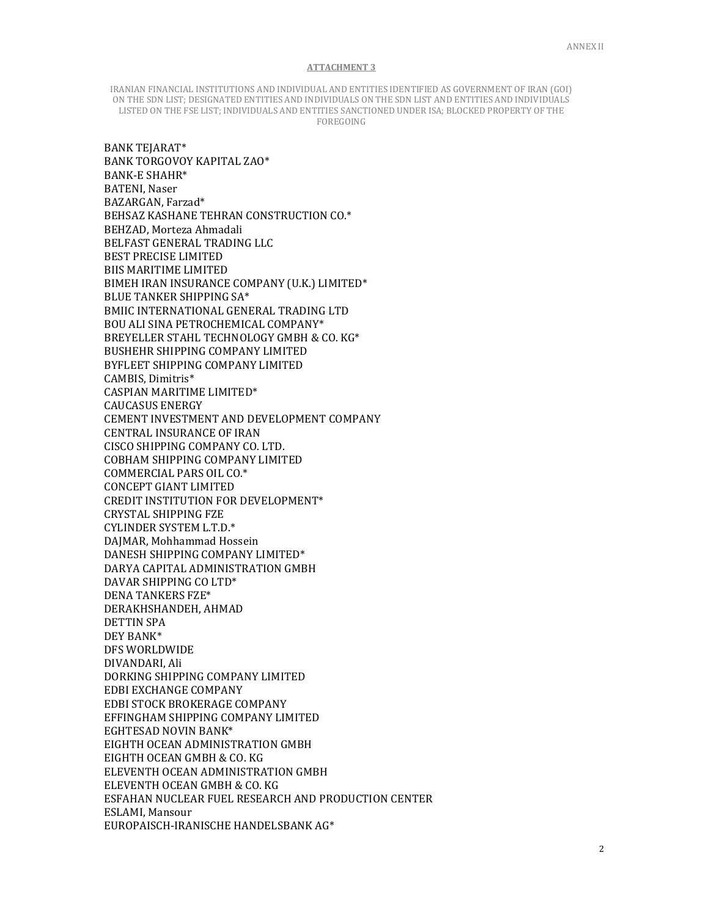IRANIAN FINANCIAL INSTITUTIONS AND INDIVIDUAL AND ENTITIES IDENTIFIED AS GOVERNMENT OF IRAN (GOI) ON THE SDN LIST; DESIGNATED ENTITIES AND INDIVIDUALS ON THE SDN LIST AND ENTITIES AND INDIVIDUALS LISTED ON THE FSE LIST; INDIVIDUALS AND ENTITIES SANCTIONED UNDER ISA; BLOCKED PROPERTY OF THE FOREGOING

BANK TEJARAT\* BANK TORGOVOY KAPITAL ZAO\* BANK-E SHAHR\* BATENI, Naser BAZARGAN, Farzad\* BEHSAZ KASHANE TEHRAN CONSTRUCTION CO.\* BEHZAD, Morteza Ahmadali BELFAST GENERAL TRADING LLC BEST PRECISE LIMITED BIIS MARITIME LIMITED BIMEH IRAN INSURANCE COMPANY (U.K.) LIMITED\* BLUE TANKER SHIPPING SA\* BMIIC INTERNATIONAL GENERAL TRADING LTD BOU ALI SINA PETROCHEMICAL COMPANY\* BREYELLER STAHL TECHNOLOGY GMBH & CO. KG\* BUSHEHR SHIPPING COMPANY LIMITED BYFLEET SHIPPING COMPANY LIMITED CAMBIS, Dimitris\* CASPIAN MARITIME LIMITED\* CAUCASUS ENERGY CEMENT INVESTMENT AND DEVELOPMENT COMPANY CENTRAL INSURANCE OF IRAN CISCO SHIPPING COMPANY CO. LTD. COBHAM SHIPPING COMPANY LIMITED COMMERCIAL PARS OIL CO.\* CONCEPT GIANT LIMITED CREDIT INSTITUTION FOR DEVELOPMENT\* CRYSTAL SHIPPING FZE CYLINDER SYSTEM L.T.D.\* DAJMAR, Mohhammad Hossein DANESH SHIPPING COMPANY LIMITED\* DARYA CAPITAL ADMINISTRATION GMBH DAVAR SHIPPING CO LTD\* DENA TANKERS FZE\* DERAKHSHANDEH, AHMAD DETTIN SPA DEY BANK\* DFS WORLDWIDE DIVANDARI, Ali DORKING SHIPPING COMPANY LIMITED EDBI EXCHANGE COMPANY EDBI STOCK BROKERAGE COMPANY EFFINGHAM SHIPPING COMPANY LIMITED EGHTESAD NOVIN BANK\* EIGHTH OCEAN ADMINISTRATION GMBH EIGHTH OCEAN GMBH & CO. KG ELEVENTH OCEAN ADMINISTRATION GMBH ELEVENTH OCEAN GMBH & CO. KG ESFAHAN NUCLEAR FUEL RESEARCH AND PRODUCTION CENTER ESLAMI, Mansour EUROPAISCH-IRANISCHE HANDELSBANK AG\*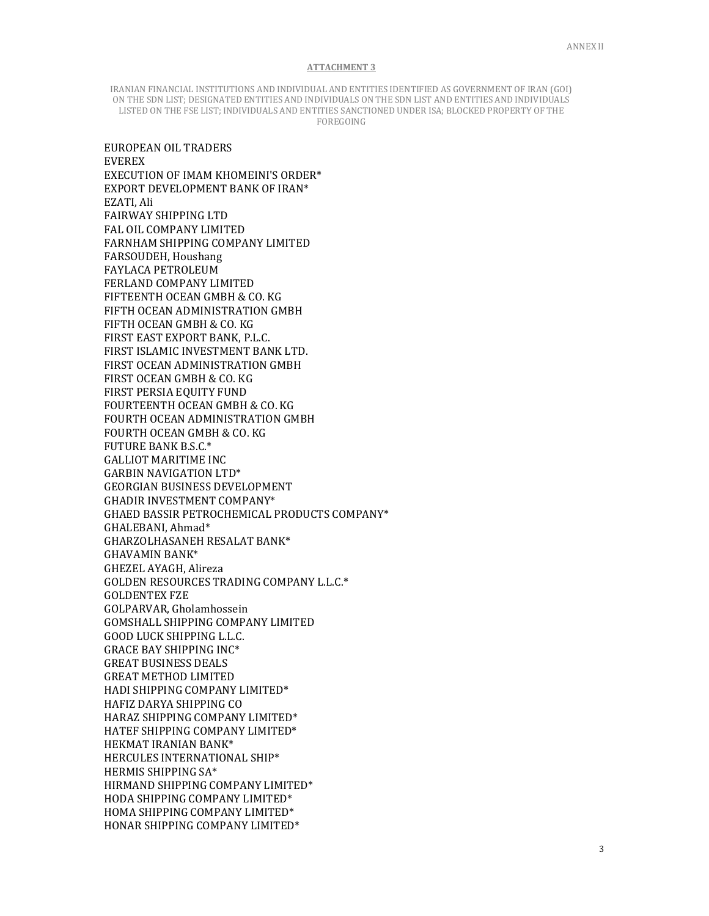IRANIAN FINANCIAL INSTITUTIONS AND INDIVIDUAL AND ENTITIES IDENTIFIED AS GOVERNMENT OF IRAN (GOI) ON THE SDN LIST; DESIGNATED ENTITIES AND INDIVIDUALS ON THE SDN LIST AND ENTITIES AND INDIVIDUALS LISTED ON THE FSE LIST; INDIVIDUALS AND ENTITIES SANCTIONED UNDER ISA; BLOCKED PROPERTY OF THE FOREGOING

EUROPEAN OIL TRADERS EVEREX EXECUTION OF IMAM KHOMEINI'S ORDER\* EXPORT DEVELOPMENT BANK OF IRAN\* EZATI, Ali FAIRWAY SHIPPING LTD FAL OIL COMPANY LIMITED FARNHAM SHIPPING COMPANY LIMITED FARSOUDEH, Houshang FAYLACA PETROLEUM FERLAND COMPANY LIMITED FIFTEENTH OCEAN GMBH & CO. KG FIFTH OCEAN ADMINISTRATION GMBH FIFTH OCEAN GMBH & CO. KG FIRST EAST EXPORT BANK, P.L.C. FIRST ISLAMIC INVESTMENT BANK LTD. FIRST OCEAN ADMINISTRATION GMBH FIRST OCEAN GMBH & CO. KG FIRST PERSIA EQUITY FUND FOURTEENTH OCEAN GMBH & CO. KG FOURTH OCEAN ADMINISTRATION GMBH FOURTH OCEAN GMBH & CO. KG FUTURE BANK B.S.C.\* GALLIOT MARITIME INC GARBIN NAVIGATION LTD\* GEORGIAN BUSINESS DEVELOPMENT GHADIR INVESTMENT COMPANY\* GHAED BASSIR PETROCHEMICAL PRODUCTS COMPANY\* GHALEBANI, Ahmad\* GHARZOLHASANEH RESALAT BANK\* GHAVAMIN BANK\* GHEZEL AYAGH, Alireza GOLDEN RESOURCES TRADING COMPANY L.L.C.\* GOLDENTEX FZE GOLPARVAR, Gholamhossein GOMSHALL SHIPPING COMPANY LIMITED GOOD LUCK SHIPPING L.L.C. GRACE BAY SHIPPING INC\* GREAT BUSINESS DEALS GREAT METHOD LIMITED HADI SHIPPING COMPANY LIMITED\* HAFIZ DARYA SHIPPING CO HARAZ SHIPPING COMPANY LIMITED\* HATEF SHIPPING COMPANY LIMITED\* HEKMAT IRANIAN BANK\* HERCULES INTERNATIONAL SHIP\* HERMIS SHIPPING SA\* HIRMAND SHIPPING COMPANY LIMITED\* HODA SHIPPING COMPANY LIMITED\* HOMA SHIPPING COMPANY LIMITED\* HONAR SHIPPING COMPANY LIMITED\*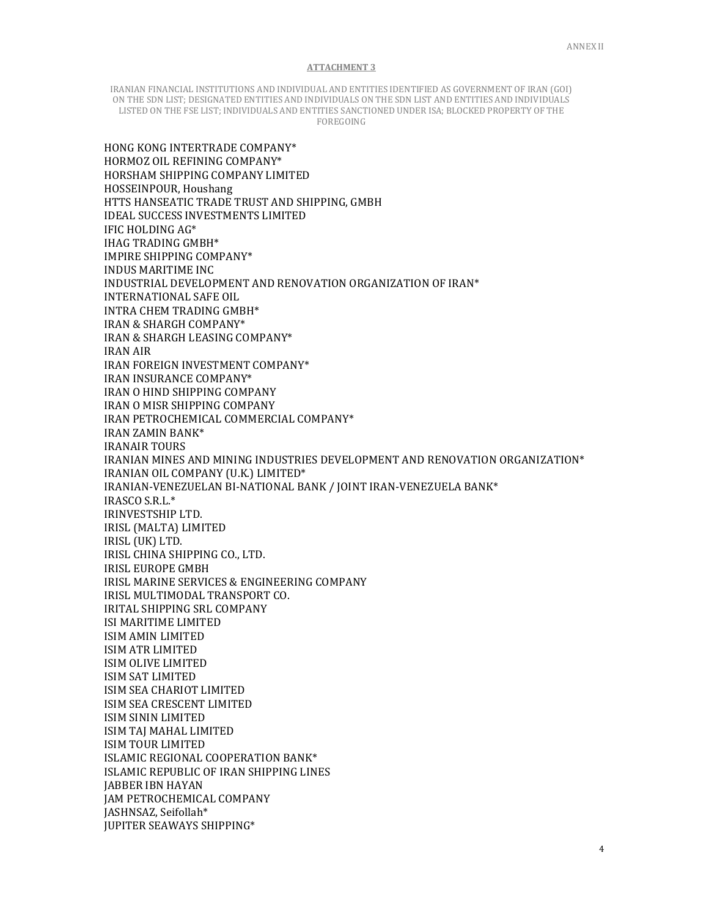IRANIAN FINANCIAL INSTITUTIONS AND INDIVIDUAL AND ENTITIES IDENTIFIED AS GOVERNMENT OF IRAN (GOI) ON THE SDN LIST; DESIGNATED ENTITIES AND INDIVIDUALS ON THE SDN LIST AND ENTITIES AND INDIVIDUALS LISTED ON THE FSE LIST; INDIVIDUALS AND ENTITIES SANCTIONED UNDER ISA; BLOCKED PROPERTY OF THE FOREGOING

HONG KONG INTERTRADE COMPANY\* HORMOZ OIL REFINING COMPANY\* HORSHAM SHIPPING COMPANY LIMITED HOSSEINPOUR, Houshang HTTS HANSEATIC TRADE TRUST AND SHIPPING, GMBH IDEAL SUCCESS INVESTMENTS LIMITED IFIC HOLDING AG\* IHAG TRADING GMBH\* IMPIRE SHIPPING COMPANY\* INDUS MARITIME INC INDUSTRIAL DEVELOPMENT AND RENOVATION ORGANIZATION OF IRAN\* INTERNATIONAL SAFE OIL INTRA CHEM TRADING GMBH\* IRAN & SHARGH COMPANY\* IRAN & SHARGH LEASING COMPANY\* IRAN AIR IRAN FOREIGN INVESTMENT COMPANY\* IRAN INSURANCE COMPANY\* IRAN O HIND SHIPPING COMPANY IRAN O MISR SHIPPING COMPANY IRAN PETROCHEMICAL COMMERCIAL COMPANY\* IRAN ZAMIN BANK\* IRANAIR TOURS IRANIAN MINES AND MINING INDUSTRIES DEVELOPMENT AND RENOVATION ORGANIZATION\* IRANIAN OIL COMPANY (U.K.) LIMITED\* IRANIAN-VENEZUELAN BI-NATIONAL BANK / JOINT IRAN-VENEZUELA BANK\* IRASCO S.R.L.\* IRINVESTSHIP LTD. IRISL (MALTA) LIMITED IRISL (UK) LTD. IRISL CHINA SHIPPING CO., LTD. IRISL EUROPE GMBH IRISL MARINE SERVICES & ENGINEERING COMPANY IRISL MULTIMODAL TRANSPORT CO. IRITAL SHIPPING SRL COMPANY ISI MARITIME LIMITED ISIM AMIN LIMITED ISIM ATR LIMITED ISIM OLIVE LIMITED ISIM SAT LIMITED ISIM SEA CHARIOT LIMITED ISIM SEA CRESCENT LIMITED ISIM SININ LIMITED ISIM TAJ MAHAL LIMITED ISIM TOUR LIMITED ISLAMIC REGIONAL COOPERATION BANK\* ISLAMIC REPUBLIC OF IRAN SHIPPING LINES JABBER IBN HAYAN JAM PETROCHEMICAL COMPANY JASHNSAZ, Seifollah\* JUPITER SEAWAYS SHIPPING\*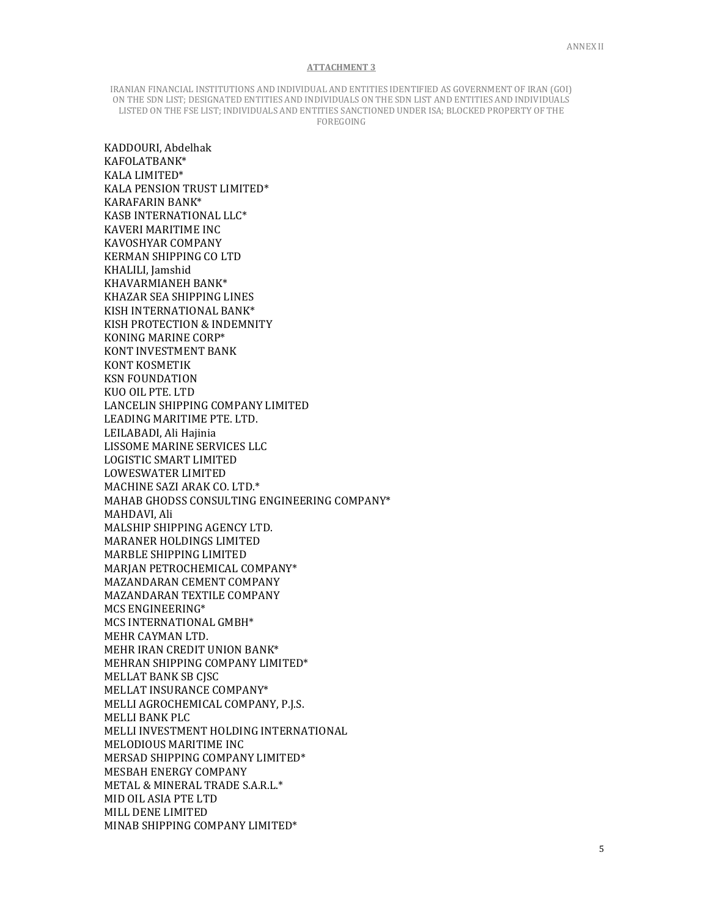IRANIAN FINANCIAL INSTITUTIONS AND INDIVIDUAL AND ENTITIES IDENTIFIED AS GOVERNMENT OF IRAN (GOI) ON THE SDN LIST; DESIGNATED ENTITIES AND INDIVIDUALS ON THE SDN LIST AND ENTITIES AND INDIVIDUALS LISTED ON THE FSE LIST; INDIVIDUALS AND ENTITIES SANCTIONED UNDER ISA; BLOCKED PROPERTY OF THE FOREGOING

KADDOURI, Abdelhak KAFOLATBANK\* KALA LIMITED\* KALA PENSION TRUST LIMITED\* KARAFARIN BANK\* KASB INTERNATIONAL LLC\* KAVERI MARITIME INC KAVOSHYAR COMPANY KERMAN SHIPPING CO LTD KHALILI, Jamshid KHAVARMIANEH BANK\* KHAZAR SEA SHIPPING LINES KISH INTERNATIONAL BANK\* KISH PROTECTION & INDEMNITY KONING MARINE CORP\* KONT INVESTMENT BANK KONT KOSMETIK KSN FOUNDATION KUO OIL PTE. LTD LANCELIN SHIPPING COMPANY LIMITED LEADING MARITIME PTE. LTD. LEILABADI, Ali Hajinia LISSOME MARINE SERVICES LLC LOGISTIC SMART LIMITED LOWESWATER LIMITED MACHINE SAZI ARAK CO. LTD.\* MAHAB GHODSS CONSULTING ENGINEERING COMPANY\* MAHDAVI, Ali MALSHIP SHIPPING AGENCY LTD. MARANER HOLDINGS LIMITED MARBLE SHIPPING LIMITED MARJAN PETROCHEMICAL COMPANY\* MAZANDARAN CEMENT COMPANY MAZANDARAN TEXTILE COMPANY MCS ENGINEERING\* MCS INTERNATIONAL GMBH\* MEHR CAYMAN LTD. MEHR IRAN CREDIT UNION BANK\* MEHRAN SHIPPING COMPANY LIMITED\* MELLAT BANK SB CJSC MELLAT INSURANCE COMPANY\* MELLI AGROCHEMICAL COMPANY, P.J.S. MELLI BANK PLC MELLI INVESTMENT HOLDING INTERNATIONAL MELODIOUS MARITIME INC MERSAD SHIPPING COMPANY LIMITED\* MESBAH ENERGY COMPANY METAL & MINERAL TRADE S.A.R.L.\* MID OIL ASIA PTE LTD MILL DENE LIMITED MINAB SHIPPING COMPANY LIMITED\*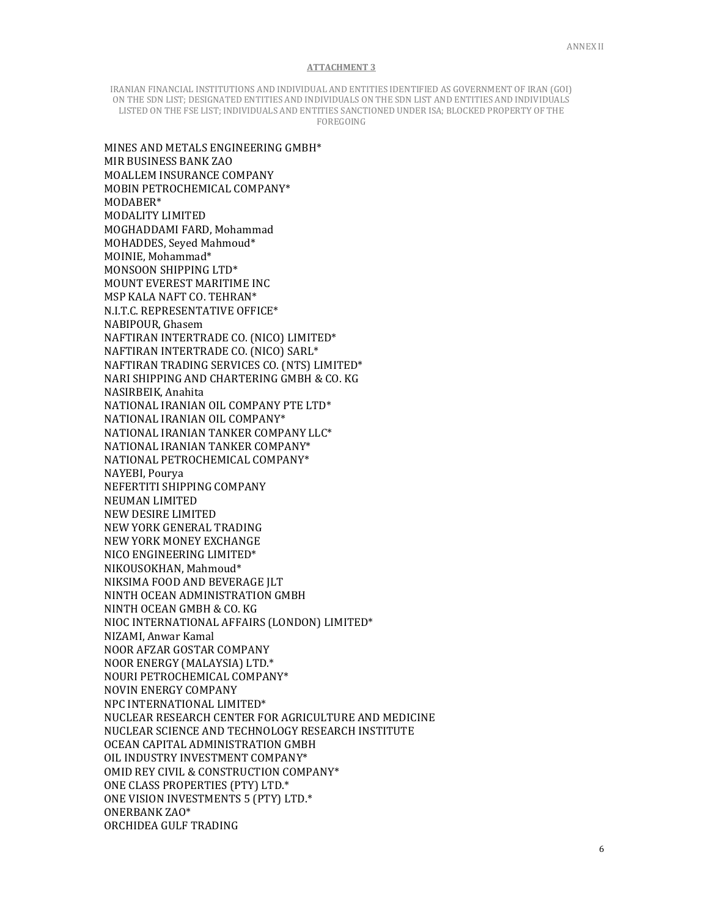IRANIAN FINANCIAL INSTITUTIONS AND INDIVIDUAL AND ENTITIES IDENTIFIED AS GOVERNMENT OF IRAN (GOI) ON THE SDN LIST; DESIGNATED ENTITIES AND INDIVIDUALS ON THE SDN LIST AND ENTITIES AND INDIVIDUALS LISTED ON THE FSE LIST; INDIVIDUALS AND ENTITIES SANCTIONED UNDER ISA; BLOCKED PROPERTY OF THE FOREGOING

MINES AND METALS ENGINEERING GMBH\* MIR BUSINESS BANK ZAO MOALLEM INSURANCE COMPANY MOBIN PETROCHEMICAL COMPANY\* MODABER\* MODALITY LIMITED MOGHADDAMI FARD, Mohammad MOHADDES, Seyed Mahmoud\* MOINIE, Mohammad\* MONSOON SHIPPING LTD\* MOUNT EVEREST MARITIME INC MSP KALA NAFT CO. TEHRAN\* N.I.T.C. REPRESENTATIVE OFFICE\* NABIPOUR, Ghasem NAFTIRAN INTERTRADE CO. (NICO) LIMITED\* NAFTIRAN INTERTRADE CO. (NICO) SARL\* NAFTIRAN TRADING SERVICES CO. (NTS) LIMITED\* NARI SHIPPING AND CHARTERING GMBH & CO. KG NASIRBEIK, Anahita NATIONAL IRANIAN OIL COMPANY PTE LTD\* NATIONAL IRANIAN OIL COMPANY\* NATIONAL IRANIAN TANKER COMPANY LLC\* NATIONAL IRANIAN TANKER COMPANY\* NATIONAL PETROCHEMICAL COMPANY\* NAYEBI, Pourya NEFERTITI SHIPPING COMPANY NEUMAN LIMITED NEW DESIRE LIMITED NEW YORK GENERAL TRADING NEW YORK MONEY EXCHANGE NICO ENGINEERING LIMITED\* NIKOUSOKHAN, Mahmoud\* NIKSIMA FOOD AND BEVERAGE JLT NINTH OCEAN ADMINISTRATION GMBH NINTH OCEAN GMBH & CO. KG NIOC INTERNATIONAL AFFAIRS (LONDON) LIMITED\* NIZAMI, Anwar Kamal NOOR AFZAR GOSTAR COMPANY NOOR ENERGY (MALAYSIA) LTD.\* NOURI PETROCHEMICAL COMPANY\* NOVIN ENERGY COMPANY NPC INTERNATIONAL LIMITED\* NUCLEAR RESEARCH CENTER FOR AGRICULTURE AND MEDICINE NUCLEAR SCIENCE AND TECHNOLOGY RESEARCH INSTITUTE OCEAN CAPITAL ADMINISTRATION GMBH OIL INDUSTRY INVESTMENT COMPANY\* OMID REY CIVIL & CONSTRUCTION COMPANY\* ONE CLASS PROPERTIES (PTY) LTD.\* ONE VISION INVESTMENTS 5 (PTY) LTD.\* ONERBANK ZAO\* ORCHIDEA GULF TRADING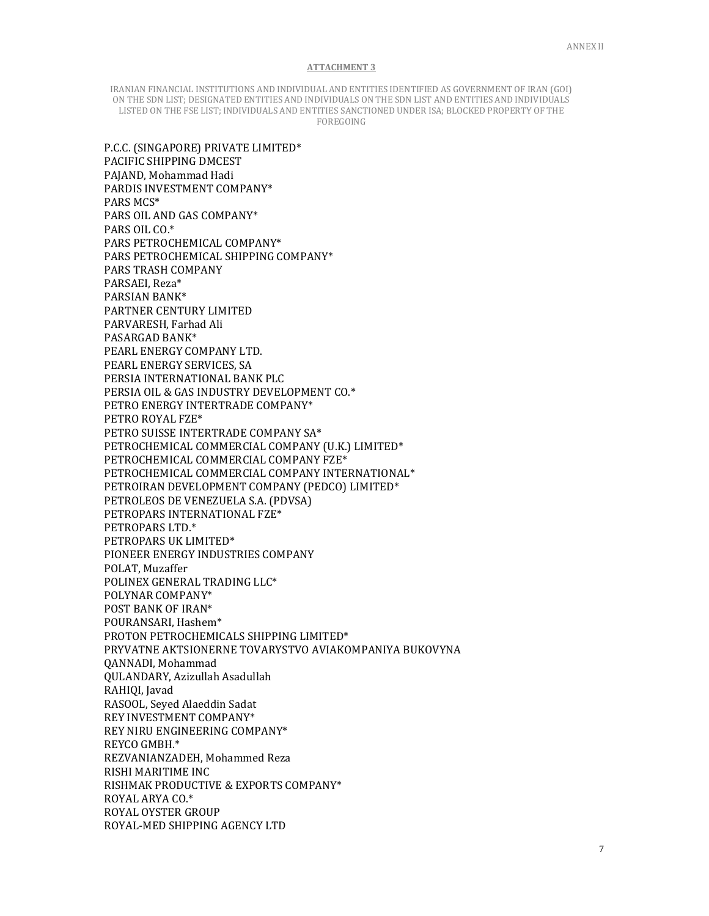IRANIAN FINANCIAL INSTITUTIONS AND INDIVIDUAL AND ENTITIES IDENTIFIED AS GOVERNMENT OF IRAN (GOI) ON THE SDN LIST; DESIGNATED ENTITIES AND INDIVIDUALS ON THE SDN LIST AND ENTITIES AND INDIVIDUALS LISTED ON THE FSE LIST; INDIVIDUALS AND ENTITIES SANCTIONED UNDER ISA; BLOCKED PROPERTY OF THE FOREGOING

P.C.C. (SINGAPORE) PRIVATE LIMITED\* PACIFIC SHIPPING DMCEST PAJAND, Mohammad Hadi PARDIS INVESTMENT COMPANY\* PARS MCS\* PARS OIL AND GAS COMPANY\* PARS OIL CO.\* PARS PETROCHEMICAL COMPANY\* PARS PETROCHEMICAL SHIPPING COMPANY\* PARS TRASH COMPANY PARSAEI, Reza\* PARSIAN BANK\* PARTNER CENTURY LIMITED PARVARESH, Farhad Ali PASARGAD BANK\* PEARL ENERGY COMPANY LTD. PEARL ENERGY SERVICES, SA PERSIA INTERNATIONAL BANK PLC PERSIA OIL & GAS INDUSTRY DEVELOPMENT CO.\* PETRO ENERGY INTERTRADE COMPANY\* PETRO ROYAL FZE\* PETRO SUISSE INTERTRADE COMPANY SA\* PETROCHEMICAL COMMERCIAL COMPANY (U.K.) LIMITED\* PETROCHEMICAL COMMERCIAL COMPANY FZE\* PETROCHEMICAL COMMERCIAL COMPANY INTERNATIONAL\* PETROIRAN DEVELOPMENT COMPANY (PEDCO) LIMITED\* PETROLEOS DE VENEZUELA S.A. (PDVSA) PETROPARS INTERNATIONAL FZE\* PETROPARS LTD.\* PETROPARS UK LIMITED\* PIONEER ENERGY INDUSTRIES COMPANY POLAT, Muzaffer POLINEX GENERAL TRADING LLC\* POLYNAR COMPANY\* POST BANK OF IRAN\* POURANSARI, Hashem\* PROTON PETROCHEMICALS SHIPPING LIMITED\* PRYVATNE AKTSIONERNE TOVARYSTVO AVIAKOMPANIYA BUKOVYNA QANNADI, Mohammad QULANDARY, Azizullah Asadullah RAHIQI, Javad RASOOL, Seyed Alaeddin Sadat REY INVESTMENT COMPANY\* REY NIRU ENGINEERING COMPANY\* REYCO GMBH.\* REZVANIANZADEH, Mohammed Reza RISHI MARITIME INC RISHMAK PRODUCTIVE & EXPORTS COMPANY\* ROYAL ARYA CO.\* ROYAL OYSTER GROUP ROYAL-MED SHIPPING AGENCY LTD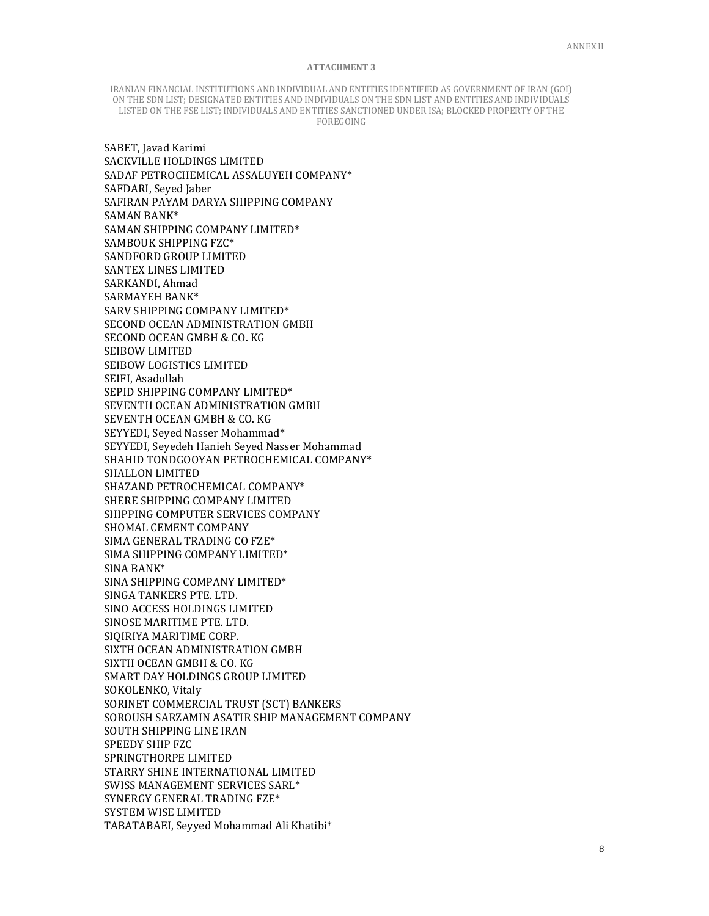IRANIAN FINANCIAL INSTITUTIONS AND INDIVIDUAL AND ENTITIES IDENTIFIED AS GOVERNMENT OF IRAN (GOI) ON THE SDN LIST; DESIGNATED ENTITIES AND INDIVIDUALS ON THE SDN LIST AND ENTITIES AND INDIVIDUALS LISTED ON THE FSE LIST; INDIVIDUALS AND ENTITIES SANCTIONED UNDER ISA; BLOCKED PROPERTY OF THE FOREGOING

 SABET, Javad Karimi SACKVILLE HOLDINGS LIMITED SADAF PETROCHEMICAL ASSALUYEH COMPANY\* SAFDARI, Seyed Jaber SAFIRAN PAYAM DARYA SHIPPING COMPANY SAMAN BANK\* SAMAN SHIPPING COMPANY LIMITED\* SAMBOUK SHIPPING FZC\* SANDFORD GROUP LIMITED SANTEX LINES LIMITED SARKANDI, Ahmad SARMAYEH BANK\* SARV SHIPPING COMPANY LIMITED\* SECOND OCEAN ADMINISTRATION GMBH SECOND OCEAN GMBH & CO. KG SEIBOW LIMITED SEIBOW LOGISTICS LIMITED SEIFI, Asadollah SEPID SHIPPING COMPANY LIMITED\* SEVENTH OCEAN ADMINISTRATION GMBH SEVENTH OCEAN GMBH & CO. KG SEYYEDI, Seyed Nasser Mohammad\* SEYYEDI, Seyedeh Hanieh Seyed Nasser Mohammad SHAHID TONDGOOYAN PETROCHEMICAL COMPANY\* SHALLON LIMITED SHAZAND PETROCHEMICAL COMPANY\* SHERE SHIPPING COMPANY LIMITED SHIPPING COMPUTER SERVICES COMPANY SHOMAL CEMENT COMPANY SIMA GENERAL TRADING CO FZE\* SIMA SHIPPING COMPANY LIMITED\* SINA BANK\* SINA SHIPPING COMPANY LIMITED\* SINGA TANKERS PTE. LTD. SINO ACCESS HOLDINGS LIMITED SINOSE MARITIME PTE. LTD. SIQIRIYA MARITIME CORP. SIXTH OCEAN ADMINISTRATION GMBH SIXTH OCEAN GMBH & CO. KG SMART DAY HOLDINGS GROUP LIMITED SOKOLENKO, Vitaly SORINET COMMERCIAL TRUST (SCT) BANKERS SOROUSH SARZAMIN ASATIR SHIP MANAGEMENT COMPANY SOUTH SHIPPING LINE IRAN SPEEDY SHIP FZC SPRINGTHORPE LIMITED STARRY SHINE INTERNATIONAL LIMITED SWISS MANAGEMENT SERVICES SARL\* SYNERGY GENERAL TRADING FZE\* SYSTEM WISE LIMITED TABATABAEI, Seyyed Mohammad Ali Khatibi\*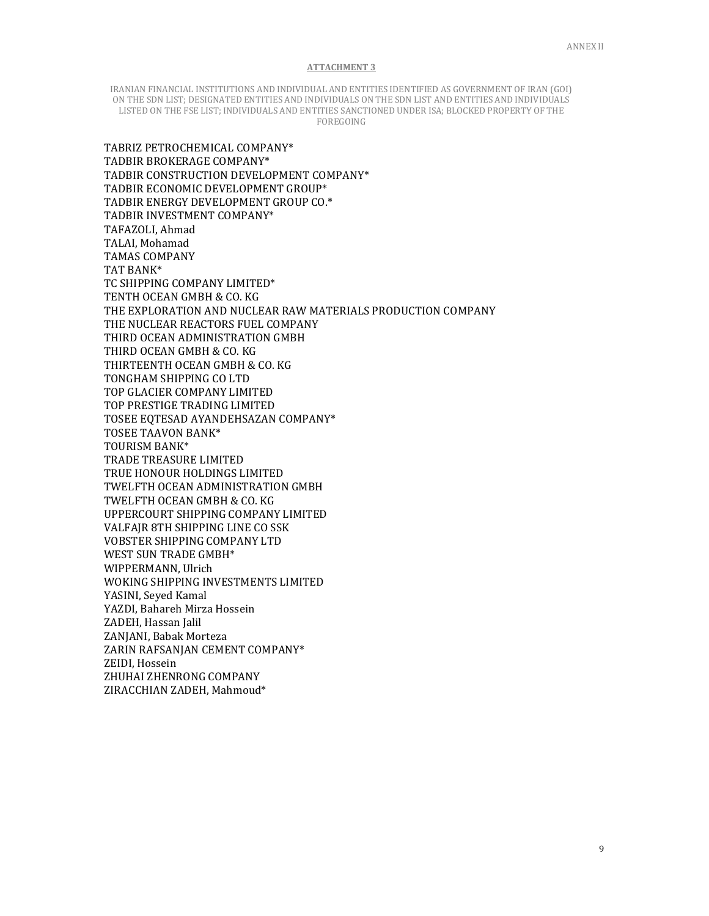IRANIAN FINANCIAL INSTITUTIONS AND INDIVIDUAL AND ENTITIES IDENTIFIED AS GOVERNMENT OF IRAN (GOI) ON THE SDN LIST; DESIGNATED ENTITIES AND INDIVIDUALS ON THE SDN LIST AND ENTITIES AND INDIVIDUALS LISTED ON THE FSE LIST; INDIVIDUALS AND ENTITIES SANCTIONED UNDER ISA; BLOCKED PROPERTY OF THE FOREGOING

TABRIZ PETROCHEMICAL COMPANY\* TADBIR BROKERAGE COMPANY\* TADBIR CONSTRUCTION DEVELOPMENT COMPANY\* TADBIR ECONOMIC DEVELOPMENT GROUP\* TADBIR ENERGY DEVELOPMENT GROUP CO.\* TADBIR INVESTMENT COMPANY\* TAFAZOLI, Ahmad TALAI, Mohamad TAMAS COMPANY TAT BANK\* TC SHIPPING COMPANY LIMITED\* TENTH OCEAN GMBH & CO. KG THE EXPLORATION AND NUCLEAR RAW MATERIALS PRODUCTION COMPANY THE NUCLEAR REACTORS FUEL COMPANY THIRD OCEAN ADMINISTRATION GMBH THIRD OCEAN GMBH & CO. KG THIRTEENTH OCEAN GMBH & CO. KG TONGHAM SHIPPING CO LTD TOP GLACIER COMPANY LIMITED TOP PRESTIGE TRADING LIMITED TOSEE EQTESAD AYANDEHSAZAN COMPANY\* TOSEE TAAVON BANK\* TOURISM BANK\* TRADE TREASURE LIMITED TRUE HONOUR HOLDINGS LIMITED TWELFTH OCEAN ADMINISTRATION GMBH TWELFTH OCEAN GMBH & CO. KG UPPERCOURT SHIPPING COMPANY LIMITED VALFAJR 8TH SHIPPING LINE CO SSK VOBSTER SHIPPING COMPANY LTD WEST SUN TRADE GMBH\* WIPPERMANN, Ulrich WOKING SHIPPING INVESTMENTS LIMITED YASINI, Seyed Kamal YAZDI, Bahareh Mirza Hossein ZADEH, Hassan Jalil ZANJANI, Babak Morteza ZARIN RAFSANJAN CEMENT COMPANY\* ZEIDI, Hossein ZHUHAI ZHENRONG COMPANY ZIRACCHIAN ZADEH, Mahmoud\*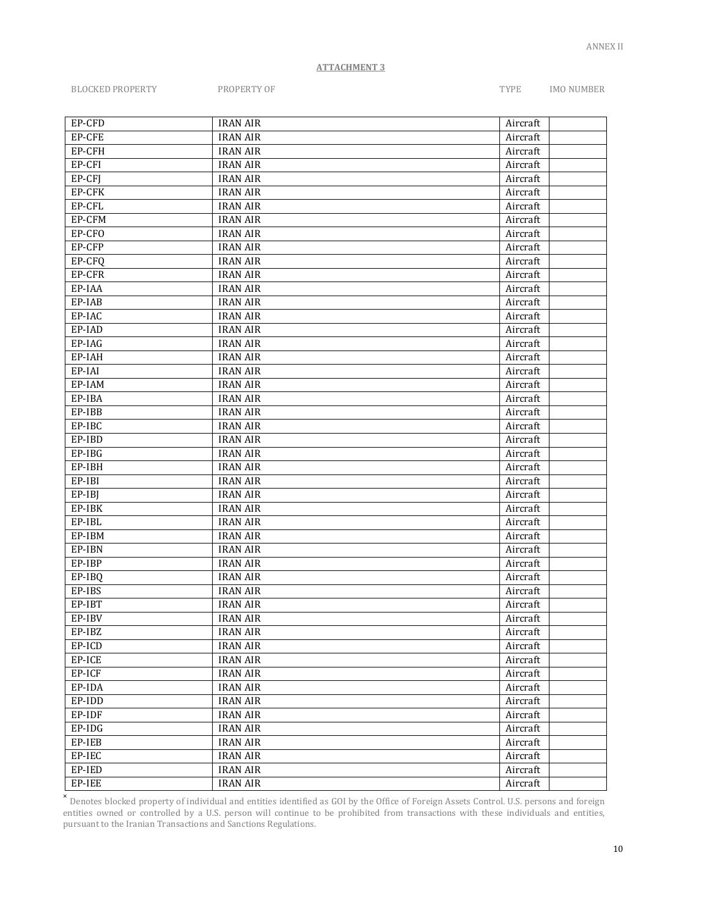BLOCKED PROPERTY PROPERTY OF TYPE IMO NUMBER

| EP-CFD | <b>IRAN AIR</b> | Aircraft |
|--------|-----------------|----------|
| EP-CFE | <b>IRAN AIR</b> | Aircraft |
| EP-CFH | <b>IRAN AIR</b> | Aircraft |
| EP-CFI | <b>IRAN AIR</b> | Aircraft |
| EP-CFJ | <b>IRAN AIR</b> | Aircraft |
| EP-CFK | <b>IRAN AIR</b> | Aircraft |
| EP-CFL | <b>IRAN AIR</b> | Aircraft |
| EP-CFM | <b>IRAN AIR</b> | Aircraft |
| EP-CFO | <b>IRAN AIR</b> | Aircraft |
| EP-CFP | <b>IRAN AIR</b> | Aircraft |
| EP-CFQ | <b>IRAN AIR</b> | Aircraft |
| EP-CFR | <b>IRAN AIR</b> | Aircraft |
| EP-IAA | <b>IRAN AIR</b> | Aircraft |
| EP-IAB | <b>IRAN AIR</b> | Aircraft |
| EP-IAC | <b>IRAN AIR</b> | Aircraft |
| EP-IAD | <b>IRAN AIR</b> | Aircraft |
| EP-IAG | <b>IRAN AIR</b> | Aircraft |
| EP-IAH | <b>IRAN AIR</b> | Aircraft |
| EP-IAI | <b>IRAN AIR</b> | Aircraft |
| EP-IAM | <b>IRAN AIR</b> | Aircraft |
| EP-IBA | <b>IRAN AIR</b> | Aircraft |
| EP-IBB | <b>IRAN AIR</b> | Aircraft |
| EP-IBC | <b>IRAN AIR</b> | Aircraft |
| EP-IBD | <b>IRAN AIR</b> | Aircraft |
| EP-IBG | <b>IRAN AIR</b> | Aircraft |
| EP-IBH | <b>IRAN AIR</b> | Aircraft |
| EP-IBI | <b>IRAN AIR</b> | Aircraft |
| EP-IBJ | <b>IRAN AIR</b> | Aircraft |
| EP-IBK | <b>IRAN AIR</b> | Aircraft |
| EP-IBL | <b>IRAN AIR</b> | Aircraft |
| EP-IBM | <b>IRAN AIR</b> | Aircraft |
| EP-IBN | <b>IRAN AIR</b> | Aircraft |
| EP-IBP | <b>IRAN AIR</b> | Aircraft |
| EP-IBQ | <b>IRAN AIR</b> | Aircraft |
| EP-IBS | <b>IRAN AIR</b> | Aircraft |
| EP-IBT | <b>IRAN AIR</b> | Aircraft |
| EP-IBV | <b>IRAN AIR</b> | Aircraft |
| EP-IBZ | <b>IRAN AIR</b> | Aircraft |
| EP-ICD | <b>IRAN AIR</b> | Aircraft |
| EP-ICE | <b>IRAN AIR</b> | Aircraft |
| EP-ICF | <b>IRAN AIR</b> | Aircraft |
| EP-IDA | <b>IRAN AIR</b> | Aircraft |
| EP-IDD | <b>IRAN AIR</b> | Aircraft |
| EP-IDF | <b>IRAN AIR</b> | Aircraft |
| EP-IDG | <b>IRAN AIR</b> | Aircraft |
| EP-IEB | <b>IRAN AIR</b> | Aircraft |
| EP-IEC | <b>IRAN AIR</b> | Aircraft |
| EP-IED | <b>IRAN AIR</b> | Aircraft |
| EP-IEE | <b>IRAN AIR</b> | Aircraft |

**x**<br>Denotes blocked property of individual and entities identified as GOI by the Office of Foreign Assets Control. U.S. persons and foreign entities owned or controlled by a U.S. person will continue to be prohibited from transactions with these individuals and entities, entities owned or controlled by a U.S. person will continue to be prohibited from transactions with these individuals and entities, pursuant to the Iranian Transactions and Sanctions Regulations.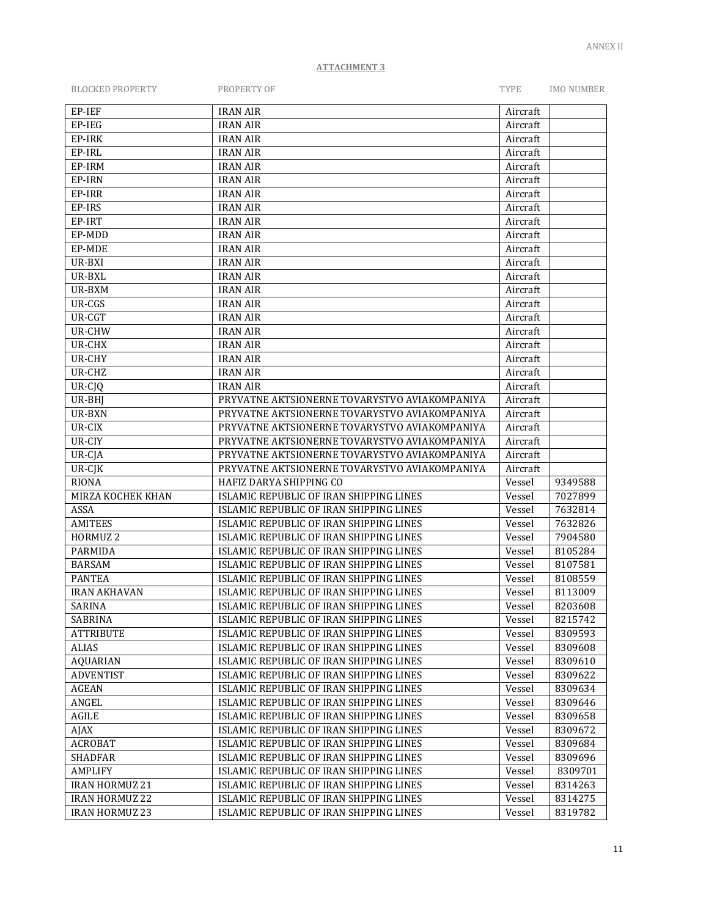| <b>BLOCKED PROPERTY</b> | PROPERTY OF                                   | TYPE     | <b>IMO NUMBER</b> |
|-------------------------|-----------------------------------------------|----------|-------------------|
| EP-IEF                  | <b>IRAN AIR</b>                               | Aircraft |                   |
| EP-IEG                  | <b>IRAN AIR</b>                               | Aircraft |                   |
| EP-IRK                  | <b>IRAN AIR</b>                               | Aircraft |                   |
| EP-IRL                  | <b>IRAN AIR</b>                               | Aircraft |                   |
| EP-IRM                  | <b>IRAN AIR</b>                               | Aircraft |                   |
| EP-IRN                  | <b>IRAN AIR</b>                               | Aircraft |                   |
| EP-IRR                  | <b>IRAN AIR</b>                               | Aircraft |                   |
| EP-IRS                  | <b>IRAN AIR</b>                               | Aircraft |                   |
| EP-IRT                  | <b>IRAN AIR</b>                               | Aircraft |                   |
| EP-MDD                  | <b>IRAN AIR</b>                               | Aircraft |                   |
| EP-MDE                  | <b>IRAN AIR</b>                               | Aircraft |                   |
| UR-BXI                  | <b>IRAN AIR</b>                               | Aircraft |                   |
| UR-BXL                  | <b>IRAN AIR</b>                               | Aircraft |                   |
| UR-BXM                  | <b>IRAN AIR</b>                               | Aircraft |                   |
| UR-CGS                  | <b>IRAN AIR</b>                               | Aircraft |                   |
| UR-CGT                  | <b>IRAN AIR</b>                               | Aircraft |                   |
| UR-CHW                  | <b>IRAN AIR</b>                               | Aircraft |                   |
| UR-CHX                  | <b>IRAN AIR</b>                               | Aircraft |                   |
| UR-CHY                  | <b>IRAN AIR</b>                               | Aircraft |                   |
| UR-CHZ                  | <b>IRAN AIR</b>                               | Aircraft |                   |
| UR-CJQ                  | <b>IRAN AIR</b>                               | Aircraft |                   |
| UR-BHJ                  | PRYVATNE AKTSIONERNE TOVARYSTVO AVIAKOMPANIYA | Aircraft |                   |
| UR-BXN                  | PRYVATNE AKTSIONERNE TOVARYSTVO AVIAKOMPANIYA | Aircraft |                   |
| UR-CIX                  | PRYVATNE AKTSIONERNE TOVARYSTVO AVIAKOMPANIYA | Aircraft |                   |
| UR-CIY                  | PRYVATNE AKTSIONERNE TOVARYSTVO AVIAKOMPANIYA | Aircraft |                   |
| UR-CJA                  | PRYVATNE AKTSIONERNE TOVARYSTVO AVIAKOMPANIYA | Aircraft |                   |
| UR-CJK                  | PRYVATNE AKTSIONERNE TOVARYSTVO AVIAKOMPANIYA | Aircraft |                   |
| <b>RIONA</b>            | HAFIZ DARYA SHIPPING CO                       | Vessel   | 9349588           |
| MIRZA KOCHEK KHAN       | ISLAMIC REPUBLIC OF IRAN SHIPPING LINES       | Vessel   | 7027899           |
| ASSA                    | ISLAMIC REPUBLIC OF IRAN SHIPPING LINES       | Vessel   | 7632814           |
| <b>AMITEES</b>          | ISLAMIC REPUBLIC OF IRAN SHIPPING LINES       | Vessel   | 7632826           |
| HORMUZ <sub>2</sub>     | ISLAMIC REPUBLIC OF IRAN SHIPPING LINES       | Vessel   | 7904580           |
| PARMIDA                 | ISLAMIC REPUBLIC OF IRAN SHIPPING LINES       | Vessel   | 8105284           |
| <b>BARSAM</b>           | ISLAMIC REPUBLIC OF IRAN SHIPPING LINES       | Vessel   | 8107581           |
| <b>PANTEA</b>           | ISLAMIC REPUBLIC OF IRAN SHIPPING LINES       | Vessel   | 8108559           |
| <b>IRAN AKHAVAN</b>     | ISLAMIC REPUBLIC OF IRAN SHIPPING LINES       | Vessel   | 8113009           |
| SARINA                  | ISLAMIC REPUBLIC OF IRAN SHIPPING LINES       | Vessel   | 8203608           |
| SABRINA                 | ISLAMIC REPUBLIC OF IRAN SHIPPING LINES       | Vessel   | 8215742           |
| <b>ATTRIBUTE</b>        | ISLAMIC REPUBLIC OF IRAN SHIPPING LINES       | Vessel   | 8309593           |
| <b>ALIAS</b>            | ISLAMIC REPUBLIC OF IRAN SHIPPING LINES       | Vessel   | 8309608           |
| <b>AQUARIAN</b>         | ISLAMIC REPUBLIC OF IRAN SHIPPING LINES       | Vessel   | 8309610           |
| <b>ADVENTIST</b>        | ISLAMIC REPUBLIC OF IRAN SHIPPING LINES       | Vessel   | 8309622           |
| <b>AGEAN</b>            | ISLAMIC REPUBLIC OF IRAN SHIPPING LINES       | Vessel   | 8309634           |
| ANGEL                   | ISLAMIC REPUBLIC OF IRAN SHIPPING LINES       | Vessel   | 8309646           |
| AGILE                   | ISLAMIC REPUBLIC OF IRAN SHIPPING LINES       | Vessel   | 8309658           |
| AJAX                    | ISLAMIC REPUBLIC OF IRAN SHIPPING LINES       | Vessel   | 8309672           |
| <b>ACROBAT</b>          | ISLAMIC REPUBLIC OF IRAN SHIPPING LINES       | Vessel   | 8309684           |
| <b>SHADFAR</b>          | ISLAMIC REPUBLIC OF IRAN SHIPPING LINES       | Vessel   | 8309696           |
| <b>AMPLIFY</b>          | ISLAMIC REPUBLIC OF IRAN SHIPPING LINES       | Vessel   | 8309701           |
| <b>IRAN HORMUZ 21</b>   | ISLAMIC REPUBLIC OF IRAN SHIPPING LINES       | Vessel   | 8314263           |
| <b>IRAN HORMUZ 22</b>   | ISLAMIC REPUBLIC OF IRAN SHIPPING LINES       | Vessel   | 8314275           |
| <b>IRAN HORMUZ 23</b>   | ISLAMIC REPUBLIC OF IRAN SHIPPING LINES       | Vessel   | 8319782           |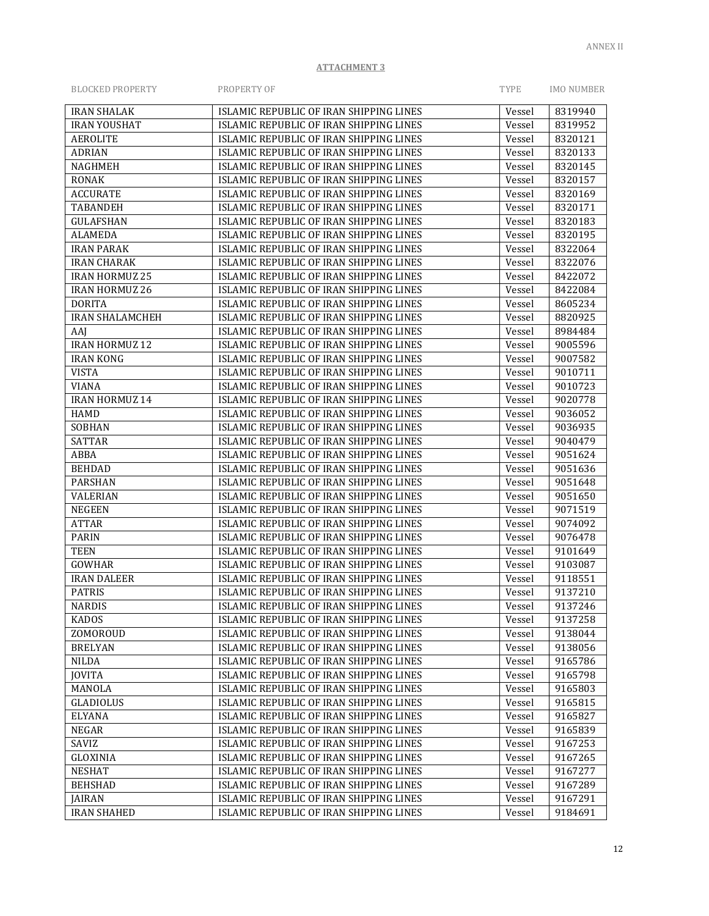| <b>BLOCKED PROPERTY</b> | PROPERTY OF                             | <b>TYPE</b> | <b>IMO NUMBER</b> |
|-------------------------|-----------------------------------------|-------------|-------------------|
| <b>IRAN SHALAK</b>      | ISLAMIC REPUBLIC OF IRAN SHIPPING LINES | Vessel      | 8319940           |
| <b>IRAN YOUSHAT</b>     | ISLAMIC REPUBLIC OF IRAN SHIPPING LINES | Vessel      | 8319952           |
| <b>AEROLITE</b>         | ISLAMIC REPUBLIC OF IRAN SHIPPING LINES | Vessel      | 8320121           |
| <b>ADRIAN</b>           | ISLAMIC REPUBLIC OF IRAN SHIPPING LINES | Vessel      | 8320133           |
| <b>NAGHMEH</b>          | ISLAMIC REPUBLIC OF IRAN SHIPPING LINES | Vessel      | 8320145           |
| <b>RONAK</b>            | ISLAMIC REPUBLIC OF IRAN SHIPPING LINES | Vessel      | 8320157           |
| <b>ACCURATE</b>         | ISLAMIC REPUBLIC OF IRAN SHIPPING LINES | Vessel      | 8320169           |
| <b>TABANDEH</b>         | ISLAMIC REPUBLIC OF IRAN SHIPPING LINES | Vessel      | 8320171           |
| <b>GULAFSHAN</b>        | ISLAMIC REPUBLIC OF IRAN SHIPPING LINES | Vessel      | 8320183           |
| <b>ALAMEDA</b>          | ISLAMIC REPUBLIC OF IRAN SHIPPING LINES | Vessel      | 8320195           |
| <b>IRAN PARAK</b>       | ISLAMIC REPUBLIC OF IRAN SHIPPING LINES | Vessel      | 8322064           |
| <b>IRAN CHARAK</b>      | ISLAMIC REPUBLIC OF IRAN SHIPPING LINES | Vessel      | 8322076           |
| IRAN HORMUZ 25          | ISLAMIC REPUBLIC OF IRAN SHIPPING LINES | Vessel      | 8422072           |
| <b>IRAN HORMUZ 26</b>   | ISLAMIC REPUBLIC OF IRAN SHIPPING LINES | Vessel      | 8422084           |
| <b>DORITA</b>           | ISLAMIC REPUBLIC OF IRAN SHIPPING LINES | Vessel      | 8605234           |
| <b>IRAN SHALAMCHEH</b>  | ISLAMIC REPUBLIC OF IRAN SHIPPING LINES | Vessel      | 8820925           |
| AAJ                     | ISLAMIC REPUBLIC OF IRAN SHIPPING LINES | Vessel      | 8984484           |
| <b>IRAN HORMUZ 12</b>   | ISLAMIC REPUBLIC OF IRAN SHIPPING LINES | Vessel      | 9005596           |
| <b>IRAN KONG</b>        | ISLAMIC REPUBLIC OF IRAN SHIPPING LINES | Vessel      | 9007582           |
| <b>VISTA</b>            | ISLAMIC REPUBLIC OF IRAN SHIPPING LINES | Vessel      | 9010711           |
| <b>VIANA</b>            | ISLAMIC REPUBLIC OF IRAN SHIPPING LINES | Vessel      | 9010723           |
| <b>IRAN HORMUZ 14</b>   | ISLAMIC REPUBLIC OF IRAN SHIPPING LINES | Vessel      | 9020778           |
| HAMD                    | ISLAMIC REPUBLIC OF IRAN SHIPPING LINES | Vessel      | 9036052           |
| <b>SOBHAN</b>           | ISLAMIC REPUBLIC OF IRAN SHIPPING LINES | Vessel      | 9036935           |
| <b>SATTAR</b>           | ISLAMIC REPUBLIC OF IRAN SHIPPING LINES | Vessel      | 9040479           |
| ABBA                    | ISLAMIC REPUBLIC OF IRAN SHIPPING LINES | Vessel      | 9051624           |
| <b>BEHDAD</b>           | ISLAMIC REPUBLIC OF IRAN SHIPPING LINES | Vessel      | 9051636           |
| <b>PARSHAN</b>          | ISLAMIC REPUBLIC OF IRAN SHIPPING LINES | Vessel      | 9051648           |
| <b>VALERIAN</b>         | ISLAMIC REPUBLIC OF IRAN SHIPPING LINES | Vessel      | 9051650           |
| <b>NEGEEN</b>           | ISLAMIC REPUBLIC OF IRAN SHIPPING LINES | Vessel      | 9071519           |
| <b>ATTAR</b>            | ISLAMIC REPUBLIC OF IRAN SHIPPING LINES | Vessel      | 9074092           |
| <b>PARIN</b>            | ISLAMIC REPUBLIC OF IRAN SHIPPING LINES | Vessel      | 9076478           |
| <b>TEEN</b>             | ISLAMIC REPUBLIC OF IRAN SHIPPING LINES | Vessel      | 9101649           |
| <b>GOWHAR</b>           | ISLAMIC REPUBLIC OF IRAN SHIPPING LINES | Vessel      | 9103087           |
| <b>IRAN DALEER</b>      | ISLAMIC REPUBLIC OF IRAN SHIPPING LINES | Vessel      | 9118551           |
| <b>PATRIS</b>           | ISLAMIC REPUBLIC OF IRAN SHIPPING LINES | Vessel      | 9137210           |
| <b>NARDIS</b>           | ISLAMIC REPUBLIC OF IRAN SHIPPING LINES | Vessel      | 9137246           |
| <b>KADOS</b>            | ISLAMIC REPUBLIC OF IRAN SHIPPING LINES | Vessel      | 9137258           |
| ZOMOROUD                | ISLAMIC REPUBLIC OF IRAN SHIPPING LINES | Vessel      | 9138044           |
| <b>BRELYAN</b>          | ISLAMIC REPUBLIC OF IRAN SHIPPING LINES | Vessel      | 9138056           |
| <b>NILDA</b>            | ISLAMIC REPUBLIC OF IRAN SHIPPING LINES | Vessel      | 9165786           |
| <b>JOVITA</b>           | ISLAMIC REPUBLIC OF IRAN SHIPPING LINES | Vessel      | 9165798           |
| MANOLA                  | ISLAMIC REPUBLIC OF IRAN SHIPPING LINES | Vessel      | 9165803           |
| <b>GLADIOLUS</b>        | ISLAMIC REPUBLIC OF IRAN SHIPPING LINES | Vessel      | 9165815           |
| <b>ELYANA</b>           | ISLAMIC REPUBLIC OF IRAN SHIPPING LINES | Vessel      | 9165827           |
| NEGAR                   | ISLAMIC REPUBLIC OF IRAN SHIPPING LINES | Vessel      | 9165839           |
| SAVIZ                   | ISLAMIC REPUBLIC OF IRAN SHIPPING LINES | Vessel      | 9167253           |
| GLOXINIA                | ISLAMIC REPUBLIC OF IRAN SHIPPING LINES | Vessel      | 9167265           |
| <b>NESHAT</b>           | ISLAMIC REPUBLIC OF IRAN SHIPPING LINES | Vessel      | 9167277           |
| <b>BEHSHAD</b>          | ISLAMIC REPUBLIC OF IRAN SHIPPING LINES | Vessel      | 9167289           |
| JAIRAN                  | ISLAMIC REPUBLIC OF IRAN SHIPPING LINES | Vessel      | 9167291           |
| <b>IRAN SHAHED</b>      | ISLAMIC REPUBLIC OF IRAN SHIPPING LINES | Vessel      | 9184691           |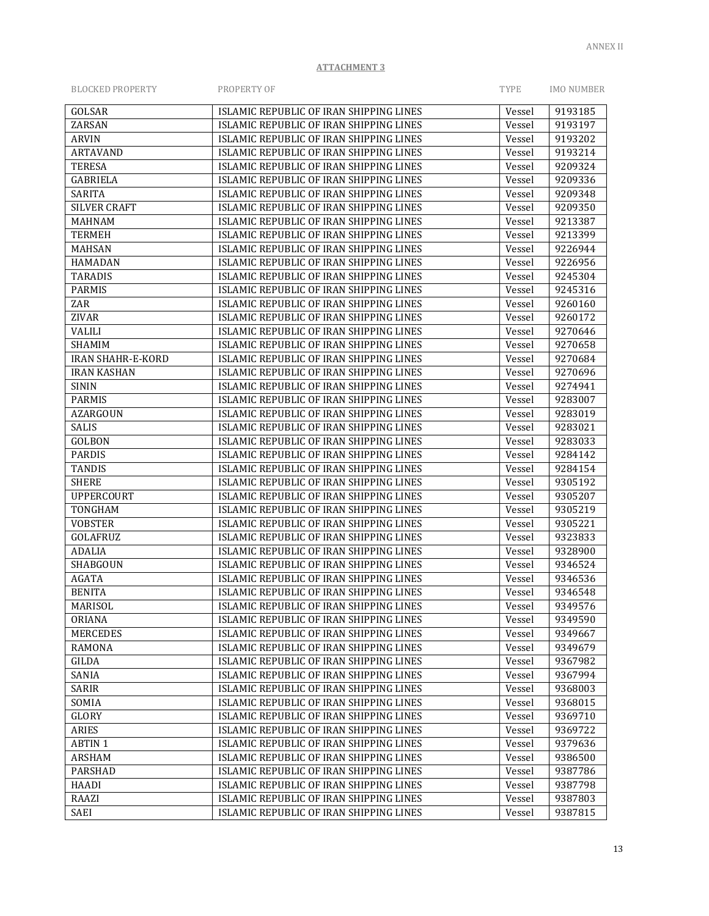| <b>BLOCKED PROPERTY</b>  | PROPERTY OF                                                                        | TYPE             | <b>IMO NUMBER</b>  |
|--------------------------|------------------------------------------------------------------------------------|------------------|--------------------|
| GOLSAR                   | ISLAMIC REPUBLIC OF IRAN SHIPPING LINES                                            | Vessel           | 9193185            |
| ZARSAN                   | ISLAMIC REPUBLIC OF IRAN SHIPPING LINES                                            | Vessel           | 9193197            |
| <b>ARVIN</b>             | ISLAMIC REPUBLIC OF IRAN SHIPPING LINES                                            | Vessel           | 9193202            |
| <b>ARTAVAND</b>          | ISLAMIC REPUBLIC OF IRAN SHIPPING LINES                                            | Vessel           | 9193214            |
| <b>TERESA</b>            | ISLAMIC REPUBLIC OF IRAN SHIPPING LINES                                            | Vessel           | 9209324            |
| <b>GABRIELA</b>          | ISLAMIC REPUBLIC OF IRAN SHIPPING LINES                                            | Vessel           | 9209336            |
| <b>SARITA</b>            | ISLAMIC REPUBLIC OF IRAN SHIPPING LINES                                            | Vessel           | 9209348            |
| <b>SILVER CRAFT</b>      | ISLAMIC REPUBLIC OF IRAN SHIPPING LINES                                            | Vessel           | 9209350            |
| <b>MAHNAM</b>            | ISLAMIC REPUBLIC OF IRAN SHIPPING LINES                                            | Vessel           | 9213387            |
| <b>TERMEH</b>            | ISLAMIC REPUBLIC OF IRAN SHIPPING LINES                                            | Vessel           | 9213399            |
| <b>MAHSAN</b>            | ISLAMIC REPUBLIC OF IRAN SHIPPING LINES                                            | Vessel           | 9226944            |
| <b>HAMADAN</b>           | ISLAMIC REPUBLIC OF IRAN SHIPPING LINES                                            | Vessel           | 9226956            |
| <b>TARADIS</b>           | ISLAMIC REPUBLIC OF IRAN SHIPPING LINES                                            | Vessel           | 9245304            |
| <b>PARMIS</b>            | ISLAMIC REPUBLIC OF IRAN SHIPPING LINES                                            | Vessel           | 9245316            |
| ZAR                      | ISLAMIC REPUBLIC OF IRAN SHIPPING LINES                                            | Vessel           | 9260160            |
| ZIVAR                    | ISLAMIC REPUBLIC OF IRAN SHIPPING LINES                                            | Vessel           | 9260172            |
| <b>VALILI</b>            | ISLAMIC REPUBLIC OF IRAN SHIPPING LINES                                            | Vessel           | 9270646            |
| <b>SHAMIM</b>            | ISLAMIC REPUBLIC OF IRAN SHIPPING LINES                                            | Vessel           | 9270658            |
| <b>IRAN SHAHR-E-KORD</b> | ISLAMIC REPUBLIC OF IRAN SHIPPING LINES                                            | Vessel           | 9270684            |
| <b>IRAN KASHAN</b>       | ISLAMIC REPUBLIC OF IRAN SHIPPING LINES                                            | Vessel           | 9270696            |
| <b>SININ</b>             | ISLAMIC REPUBLIC OF IRAN SHIPPING LINES                                            | Vessel           | 9274941            |
| <b>PARMIS</b>            | ISLAMIC REPUBLIC OF IRAN SHIPPING LINES                                            | Vessel           | 9283007            |
| <b>AZARGOUN</b>          | ISLAMIC REPUBLIC OF IRAN SHIPPING LINES                                            | Vessel           | 9283019            |
| <b>SALIS</b>             | ISLAMIC REPUBLIC OF IRAN SHIPPING LINES                                            | Vessel           | 9283021            |
| <b>GOLBON</b>            | ISLAMIC REPUBLIC OF IRAN SHIPPING LINES                                            | Vessel           | 9283033            |
| <b>PARDIS</b>            | ISLAMIC REPUBLIC OF IRAN SHIPPING LINES                                            | Vessel           | 9284142            |
| <b>TANDIS</b>            | ISLAMIC REPUBLIC OF IRAN SHIPPING LINES                                            | Vessel           | 9284154            |
| <b>SHERE</b>             | ISLAMIC REPUBLIC OF IRAN SHIPPING LINES                                            | Vessel           | 9305192            |
| <b>UPPERCOURT</b>        | ISLAMIC REPUBLIC OF IRAN SHIPPING LINES                                            | Vessel           | 9305207            |
| TONGHAM                  | ISLAMIC REPUBLIC OF IRAN SHIPPING LINES                                            | Vessel           | 9305219            |
| <b>VOBSTER</b>           | ISLAMIC REPUBLIC OF IRAN SHIPPING LINES                                            | Vessel           | 9305221            |
| <b>GOLAFRUZ</b>          | ISLAMIC REPUBLIC OF IRAN SHIPPING LINES                                            | Vessel           | 9323833            |
| <b>ADALIA</b>            | ISLAMIC REPUBLIC OF IRAN SHIPPING LINES                                            |                  | 9328900            |
| SHABGOUN                 | ISLAMIC REPUBLIC OF IRAN SHIPPING LINES                                            | Vessel           | 9346524            |
| <b>AGATA</b>             | ISLAMIC REPUBLIC OF IRAN SHIPPING LINES                                            | Vessel<br>Vessel | 9346536            |
| <b>BENITA</b>            | ISLAMIC REPUBLIC OF IRAN SHIPPING LINES                                            |                  | 9346548            |
|                          |                                                                                    | Vessel           |                    |
| MARISOL<br>ORIANA        | ISLAMIC REPUBLIC OF IRAN SHIPPING LINES<br>ISLAMIC REPUBLIC OF IRAN SHIPPING LINES | Vessel           | 9349576<br>9349590 |
|                          |                                                                                    | Vessel           |                    |
| <b>MERCEDES</b>          | ISLAMIC REPUBLIC OF IRAN SHIPPING LINES                                            | Vessel           | 9349667            |
| <b>RAMONA</b>            | ISLAMIC REPUBLIC OF IRAN SHIPPING LINES                                            | Vessel           | 9349679            |
| GILDA                    | ISLAMIC REPUBLIC OF IRAN SHIPPING LINES                                            | Vessel           | 9367982            |
| SANIA                    | ISLAMIC REPUBLIC OF IRAN SHIPPING LINES                                            | Vessel           | 9367994            |
| SARIR                    | ISLAMIC REPUBLIC OF IRAN SHIPPING LINES                                            | Vessel           | 9368003            |
| SOMIA                    | ISLAMIC REPUBLIC OF IRAN SHIPPING LINES                                            | Vessel           | 9368015            |
| GLORY                    | ISLAMIC REPUBLIC OF IRAN SHIPPING LINES                                            | Vessel           | 9369710            |
| ARIES                    | ISLAMIC REPUBLIC OF IRAN SHIPPING LINES                                            | Vessel           | 9369722            |
| <b>ABTIN1</b>            | ISLAMIC REPUBLIC OF IRAN SHIPPING LINES                                            | Vessel           | 9379636            |
| <b>ARSHAM</b>            | ISLAMIC REPUBLIC OF IRAN SHIPPING LINES                                            | Vessel           | 9386500            |
| <b>PARSHAD</b>           | ISLAMIC REPUBLIC OF IRAN SHIPPING LINES                                            | Vessel           | 9387786            |
| HAADI                    | ISLAMIC REPUBLIC OF IRAN SHIPPING LINES                                            | Vessel           | 9387798            |
| RAAZI                    | ISLAMIC REPUBLIC OF IRAN SHIPPING LINES                                            | Vessel           | 9387803            |

SAEI SAEI SLAMIC REPUBLIC OF IRAN SHIPPING LINES Vessel 9387815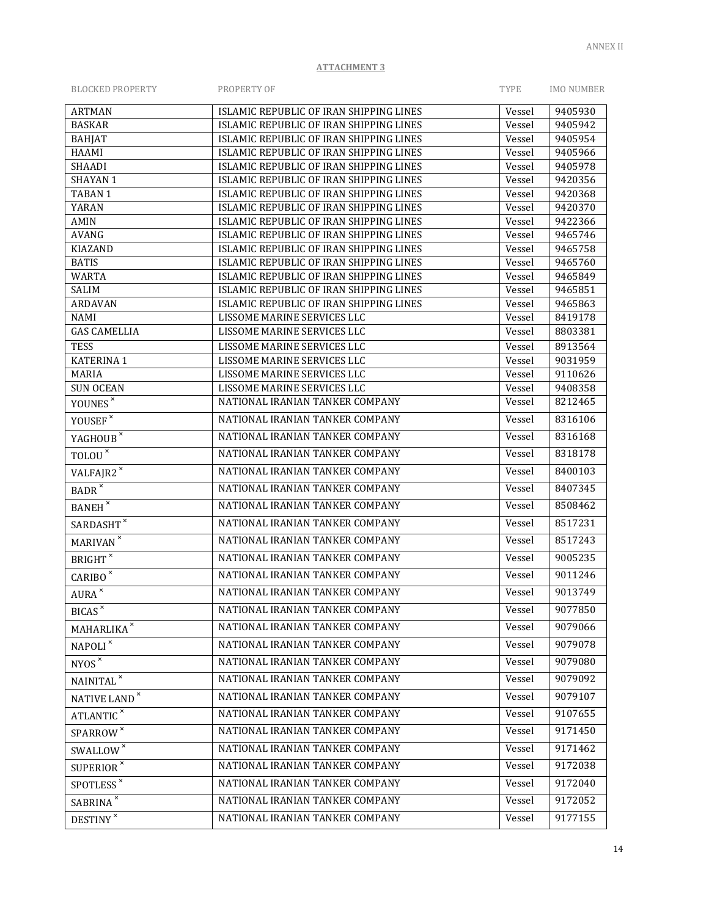| <b>BLOCKED PROPERTY</b> | PROPERTY OF | <b>TYPE</b> | IMO NUMBER |
|-------------------------|-------------|-------------|------------|
|                         |             |             |            |

| <b>ARTMAN</b>                  | ISLAMIC REPUBLIC OF IRAN SHIPPING LINES                                            | Vessel           | 9405930            |
|--------------------------------|------------------------------------------------------------------------------------|------------------|--------------------|
| <b>BASKAR</b>                  | ISLAMIC REPUBLIC OF IRAN SHIPPING LINES                                            | Vessel           | 9405942            |
| <b>BAHJAT</b>                  | ISLAMIC REPUBLIC OF IRAN SHIPPING LINES                                            | Vessel           | 9405954            |
| <b>HAAMI</b>                   | ISLAMIC REPUBLIC OF IRAN SHIPPING LINES                                            | Vessel           | 9405966            |
| <b>SHAADI</b>                  | ISLAMIC REPUBLIC OF IRAN SHIPPING LINES                                            | Vessel           | 9405978            |
| <b>SHAYAN1</b>                 | ISLAMIC REPUBLIC OF IRAN SHIPPING LINES                                            | Vessel           | 9420356            |
| TABAN 1                        | ISLAMIC REPUBLIC OF IRAN SHIPPING LINES                                            | Vessel           | 9420368            |
| YARAN                          | ISLAMIC REPUBLIC OF IRAN SHIPPING LINES                                            | Vessel           | 9420370            |
| AMIN                           | ISLAMIC REPUBLIC OF IRAN SHIPPING LINES                                            | Vessel           | 9422366            |
| <b>AVANG</b><br><b>KIAZAND</b> | ISLAMIC REPUBLIC OF IRAN SHIPPING LINES<br>ISLAMIC REPUBLIC OF IRAN SHIPPING LINES | Vessel<br>Vessel | 9465746<br>9465758 |
| <b>BATIS</b>                   | ISLAMIC REPUBLIC OF IRAN SHIPPING LINES                                            | Vessel           | 9465760            |
| <b>WARTA</b>                   | ISLAMIC REPUBLIC OF IRAN SHIPPING LINES                                            | Vessel           | 9465849            |
| SALIM                          | ISLAMIC REPUBLIC OF IRAN SHIPPING LINES                                            | Vessel           | 9465851            |
| <b>ARDAVAN</b>                 | ISLAMIC REPUBLIC OF IRAN SHIPPING LINES                                            | Vessel           | 9465863            |
| <b>NAMI</b>                    | LISSOME MARINE SERVICES LLC                                                        | Vessel           | 8419178            |
| <b>GAS CAMELLIA</b>            | LISSOME MARINE SERVICES LLC                                                        | Vessel           | 8803381            |
| <b>TESS</b>                    | LISSOME MARINE SERVICES LLC                                                        | Vessel           | 8913564            |
| <b>KATERINA 1</b>              | LISSOME MARINE SERVICES LLC                                                        | Vessel           | 9031959            |
| <b>MARIA</b>                   | LISSOME MARINE SERVICES LLC                                                        | Vessel           | 9110626            |
| <b>SUN OCEAN</b>               | LISSOME MARINE SERVICES LLC                                                        | Vessel           | 9408358            |
| YOUNES <sup>×</sup>            | NATIONAL IRANIAN TANKER COMPANY                                                    | Vessel           | 8212465            |
| YOUSEF ${}^{\times}$           | NATIONAL IRANIAN TANKER COMPANY                                                    | Vessel           | 8316106            |
| YAGHOUB <sup>×</sup>           | NATIONAL IRANIAN TANKER COMPANY                                                    | Vessel           | 8316168            |
| $TOLOU^*$                      | NATIONAL IRANIAN TANKER COMPANY                                                    | Vessel           | 8318178            |
| VALFAJR2 <sup>x</sup>          | NATIONAL IRANIAN TANKER COMPANY                                                    | Vessel           | 8400103            |
| $BADR^{\times}$                | NATIONAL IRANIAN TANKER COMPANY                                                    | Vessel           | 8407345            |
| <b>BANEH</b> <sup>x</sup>      | NATIONAL IRANIAN TANKER COMPANY                                                    | Vessel           | 8508462            |
| $\textsc{SARDASHT}^{\times}$   | NATIONAL IRANIAN TANKER COMPANY                                                    | Vessel           | 8517231            |
| MARIVAN <sup>×</sup>           | NATIONAL IRANIAN TANKER COMPANY                                                    | Vessel           | 8517243            |
| <b>BRIGHT</b>                  | NATIONAL IRANIAN TANKER COMPANY                                                    | Vessel           | 9005235            |
| CARIBO <sup>x</sup>            | NATIONAL IRANIAN TANKER COMPANY                                                    | Vessel           | 9011246            |
| $AURA^{\times}$                | NATIONAL IRANIAN TANKER COMPANY                                                    | Vessel           | 9013749            |
| BICAS <sup>x</sup>             | NATIONAL IRANIAN TANKER COMPANY                                                    | Vessel           | 9077850            |
| MAHARLIKA <sup>×</sup>         | NATIONAL IRANIAN TANKER COMPANY                                                    | Vessel           | 9079066            |
| $\texttt{NAPOLI}^{\times}$     | NATIONAL IRANIAN TANKER COMPANY                                                    | Vessel           | 9079078            |
| NYOS <sup>x</sup>              | NATIONAL IRANIAN TANKER COMPANY                                                    | Vessel           | 9079080            |
| $\textsf{NAINITAL}^{\times}$   | NATIONAL IRANIAN TANKER COMPANY                                                    | Vessel           | 9079092            |
| NATIVE LAND ×                  | NATIONAL IRANIAN TANKER COMPANY                                                    | Vessel           | 9079107            |
| ATLANTIC <sup>x</sup>          | NATIONAL IRANIAN TANKER COMPANY                                                    | Vessel           | 9107655            |
| SPARROW <sup>×</sup>           | NATIONAL IRANIAN TANKER COMPANY                                                    | Vessel           | 9171450            |
| SWALLOW <sup>x</sup>           | NATIONAL IRANIAN TANKER COMPANY                                                    | Vessel           | 9171462            |
| SUPERIOR <sup>*</sup>          | NATIONAL IRANIAN TANKER COMPANY                                                    | Vessel           | 9172038            |
| SPOTLESS <sup>*</sup>          | NATIONAL IRANIAN TANKER COMPANY                                                    | Vessel           | 9172040            |
| SABRINA <sup>x</sup>           | NATIONAL IRANIAN TANKER COMPANY                                                    | Vessel           | 9172052            |
| <b>DESTINY</b>                 | NATIONAL IRANIAN TANKER COMPANY                                                    | Vessel           | 9177155            |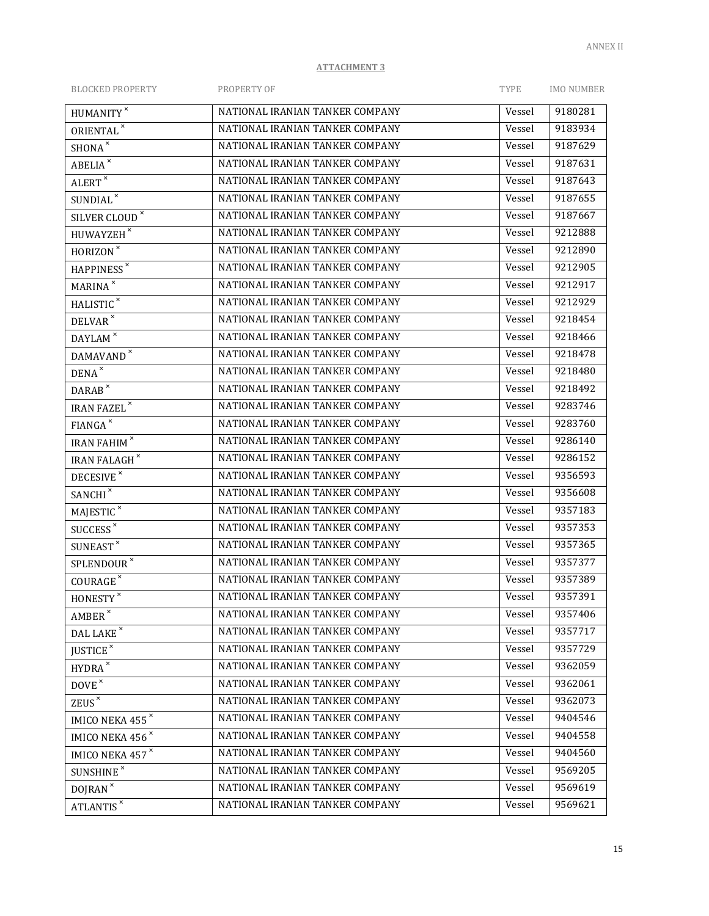| <b>BLOCKED PROPERTY</b>                                 | PROPERTY OF                     | TYPE   | <b>IMO NUMBER</b> |
|---------------------------------------------------------|---------------------------------|--------|-------------------|
| HUMANITY <sup>×</sup>                                   | NATIONAL IRANIAN TANKER COMPANY | Vessel | 9180281           |
| ORIENTAL <sup>x</sup>                                   | NATIONAL IRANIAN TANKER COMPANY | Vessel | 9183934           |
| $SHONA^{\times}$                                        | NATIONAL IRANIAN TANKER COMPANY | Vessel | 9187629           |
| <b>ABELIA</b>                                           | NATIONAL IRANIAN TANKER COMPANY | Vessel | 9187631           |
| ALERT <sup>x</sup>                                      | NATIONAL IRANIAN TANKER COMPANY | Vessel | 9187643           |
| SUNDIAL <sup>x</sup>                                    | NATIONAL IRANIAN TANKER COMPANY | Vessel | 9187655           |
| SILVER CLOUD <sup>×</sup>                               | NATIONAL IRANIAN TANKER COMPANY | Vessel | 9187667           |
| $\mbox{HUWAYZEH}^{\,\times}$                            | NATIONAL IRANIAN TANKER COMPANY | Vessel | 9212888           |
| $HORIZON^{\times}$                                      | NATIONAL IRANIAN TANKER COMPANY | Vessel | 9212890           |
| HAPPINESS <sup>x</sup>                                  | NATIONAL IRANIAN TANKER COMPANY | Vessel | 9212905           |
| <b>MARINA</b> <sup>x</sup>                              | NATIONAL IRANIAN TANKER COMPANY | Vessel | 9212917           |
| HALISTIC <sup>x</sup>                                   | NATIONAL IRANIAN TANKER COMPANY | Vessel | 9212929           |
| DELVAR <sup>x</sup>                                     | NATIONAL IRANIAN TANKER COMPANY | Vessel | 9218454           |
| $DAYLAM$ <sup><math>\overline{\phantom{a}}</math></sup> | NATIONAL IRANIAN TANKER COMPANY | Vessel | 9218466           |
| DAMAVAND <sup>×</sup>                                   | NATIONAL IRANIAN TANKER COMPANY | Vessel | 9218478           |
| $DENA^{\times}$                                         | NATIONAL IRANIAN TANKER COMPANY | Vessel | 9218480           |
| $DARAB^{\times}$                                        | NATIONAL IRANIAN TANKER COMPANY | Vessel | 9218492           |
| <b>IRAN FAZEL</b>                                       | NATIONAL IRANIAN TANKER COMPANY | Vessel | 9283746           |
| $FIANGA^{\times}$                                       | NATIONAL IRANIAN TANKER COMPANY | Vessel | 9283760           |
| IRAN FAHIM <sup>×</sup>                                 | NATIONAL IRANIAN TANKER COMPANY | Vessel | 9286140           |
| <b>IRAN FALAGH</b> <sup>*</sup>                         | NATIONAL IRANIAN TANKER COMPANY | Vessel | 9286152           |
| DECESIVE <sup>x</sup>                                   | NATIONAL IRANIAN TANKER COMPANY | Vessel | 9356593           |
| SANCHI <sup>x</sup>                                     | NATIONAL IRANIAN TANKER COMPANY | Vessel | 9356608           |
| $MAJESTIC^{\times}$                                     | NATIONAL IRANIAN TANKER COMPANY | Vessel | 9357183           |
| SUCCESS <sup>x</sup>                                    | NATIONAL IRANIAN TANKER COMPANY | Vessel | 9357353           |
| $\texttt{SUNEAST}^\times$                               | NATIONAL IRANIAN TANKER COMPANY | Vessel | 9357365           |
| SPLENDOUR <sup>×</sup>                                  | NATIONAL IRANIAN TANKER COMPANY | Vessel | 9357377           |
| COURAGE <sup>*</sup>                                    | NATIONAL IRANIAN TANKER COMPANY | Vessel | 9357389           |
| $\mbox{HONESTY}^{\,\times}$                             | NATIONAL IRANIAN TANKER COMPANY | Vessel | 9357391           |
| $\mathsf{AMBER}^\times$                                 | NATIONAL IRANIAN TANKER COMPANY | Vessel | 9357406           |
| DAL LAKE $^{\times}$                                    | NATIONAL IRANIAN TANKER COMPANY | Vessel | 9357717           |
| JUSTICE <sup>x</sup>                                    | NATIONAL IRANIAN TANKER COMPANY | Vessel | 9357729           |
| $HYDRA$ $^{\times}$                                     | NATIONAL IRANIAN TANKER COMPANY | Vessel | 9362059           |
| DOVE <sup>x</sup>                                       | NATIONAL IRANIAN TANKER COMPANY | Vessel | 9362061           |
| ZEUS <sup>×</sup>                                       | NATIONAL IRANIAN TANKER COMPANY | Vessel | 9362073           |
| IMICO NEKA 455*                                         | NATIONAL IRANIAN TANKER COMPANY | Vessel | 9404546           |
| IMICO NEKA 456 <sup>x</sup>                             | NATIONAL IRANIAN TANKER COMPANY | Vessel | 9404558           |
| <b>IMICO NEKA 457<sup>x</sup></b>                       | NATIONAL IRANIAN TANKER COMPANY | Vessel | 9404560           |
| SUNSHINE <sup>x</sup>                                   | NATIONAL IRANIAN TANKER COMPANY | Vessel | 9569205           |
| DOJRAN <sup>x</sup>                                     | NATIONAL IRANIAN TANKER COMPANY | Vessel | 9569619           |
| <b>ATLANTIS</b>                                         | NATIONAL IRANIAN TANKER COMPANY | Vessel | 9569621           |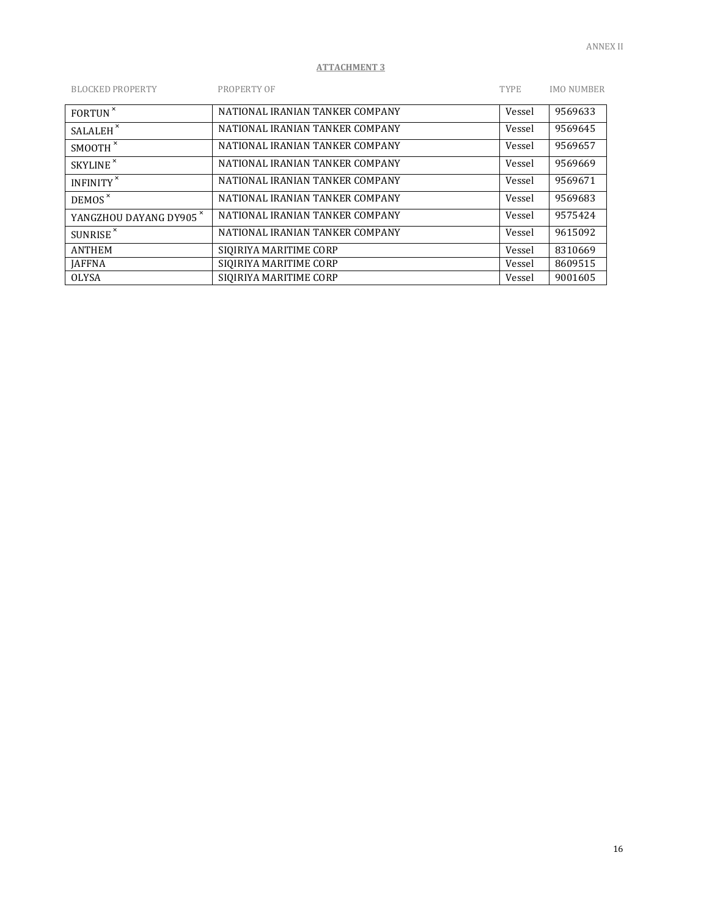| <b>BLOCKED PROPERTY</b>            | PROPERTY OF                     | <b>TYPE</b> | <b>IMO NUMBER</b> |
|------------------------------------|---------------------------------|-------------|-------------------|
| FORTUN <sup>x</sup>                | NATIONAL IRANIAN TANKER COMPANY | Vessel      | 9569633           |
| SALALEH <sup>x</sup>               | NATIONAL IRANIAN TANKER COMPANY | Vessel      | 9569645           |
| SMOOTH <sup>*</sup>                | NATIONAL IRANIAN TANKER COMPANY | Vessel      | 9569657           |
| SKYLINE <sup>x</sup>               | NATIONAL IRANIAN TANKER COMPANY | Vessel      | 9569669           |
| INFINITY <sup>*</sup>              | NATIONAL IRANIAN TANKER COMPANY | Vessel      | 9569671           |
| DEMOS <sup>x</sup>                 | NATIONAL IRANIAN TANKER COMPANY | Vessel      | 9569683           |
| YANGZHOU DAYANG DY905 <sup>*</sup> | NATIONAL IRANIAN TANKER COMPANY | Vessel      | 9575424           |
| SUNRISE <sup>x</sup>               | NATIONAL IRANIAN TANKER COMPANY | Vessel      | 9615092           |
| <b>ANTHEM</b>                      | SIOIRIYA MARITIME CORP          | Vessel      | 8310669           |
| <b>JAFFNA</b>                      | SIOIRIYA MARITIME CORP          | Vessel      | 8609515           |
| <b>OLYSA</b>                       | SIOIRIYA MARITIME CORP          | Vessel      | 9001605           |